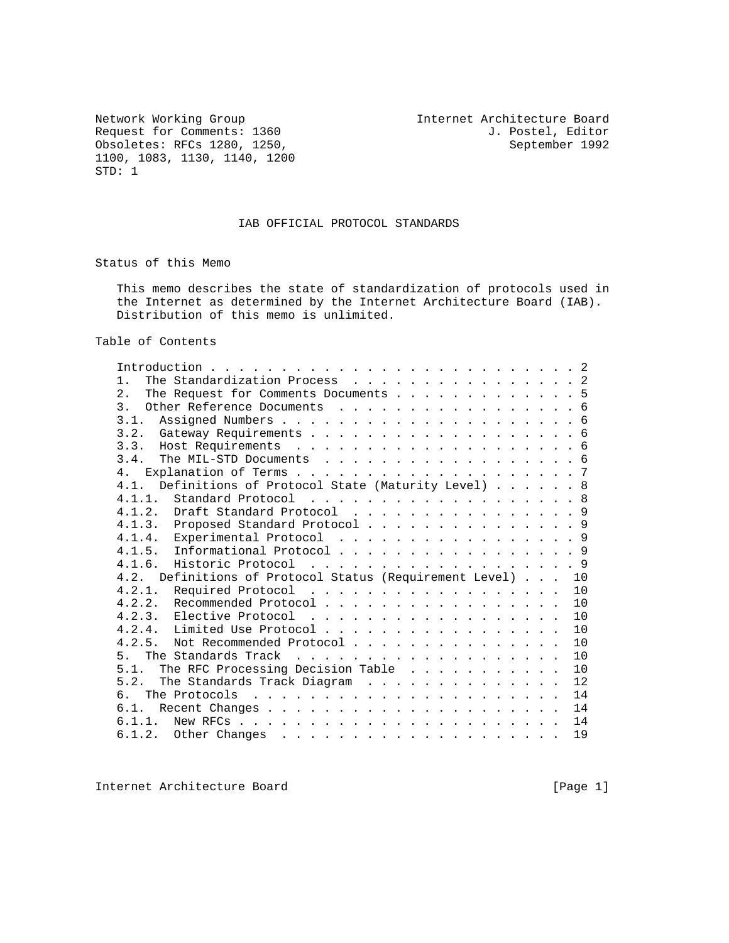Network Working Group<br>
Request for Comments: 1360<br>
T. Postel, Editor<br>
J. Postel, Editor Request for Comments: 1360 J. Postel, Editor Obsoletes: RFCs 1280, 1250, 200 J. Postel, Editor September 1992 Obsoletes: RFCs 1280, 1250, 1100, 1083, 1130, 1140, 1200 STD: 1

### IAB OFFICIAL PROTOCOL STANDARDS

Status of this Memo

 This memo describes the state of standardization of protocols used in the Internet as determined by the Internet Architecture Board (IAB). Distribution of this memo is unlimited.

Table of Contents

| The Standardization Process 2<br>$1$ .                           |  |
|------------------------------------------------------------------|--|
| 2.<br>The Request for Comments Documents 5                       |  |
| 3 <sub>1</sub><br>Other Reference Documents 6                    |  |
| 3.1.                                                             |  |
|                                                                  |  |
|                                                                  |  |
| 3.4.<br>The MIL-STD Documents 6                                  |  |
| 4 <sub>1</sub>                                                   |  |
| Definitions of Protocol State (Maturity Level) 8<br>4.1.         |  |
| Standard Protocol 8<br>4.1.1.                                    |  |
| 4.1.2. Draft Standard Protocol 9                                 |  |
| 4.1.3. Proposed Standard Protocol 9                              |  |
| 4.1.4. Experimental Protocol 9                                   |  |
| Informational Protocol 9<br>4.1.5.                               |  |
|                                                                  |  |
| Definitions of Protocol Status (Requirement Level)<br>4.2.<br>10 |  |
| 4.2.1. Required Protocol<br>10                                   |  |
| 4.2.2. Recommended Protocol<br>10                                |  |
| 4.2.3. Elective Protocol<br>10                                   |  |
| 4.2.4. Limited Use Protocol<br>10                                |  |
| 4 2 5<br>Not Recommended Protocol<br>10                          |  |
| 10<br>5 <sub>1</sub>                                             |  |
| The RFC Processing Decision Table<br>5.1.<br>10                  |  |
| 5 2<br>The Standards Track Diagram<br>12                         |  |
| 14<br>რ.                                                         |  |
| 14<br>6.1.                                                       |  |
| 14<br>6.1.1.                                                     |  |
| 19                                                               |  |

Internet Architecture Board [Page 1]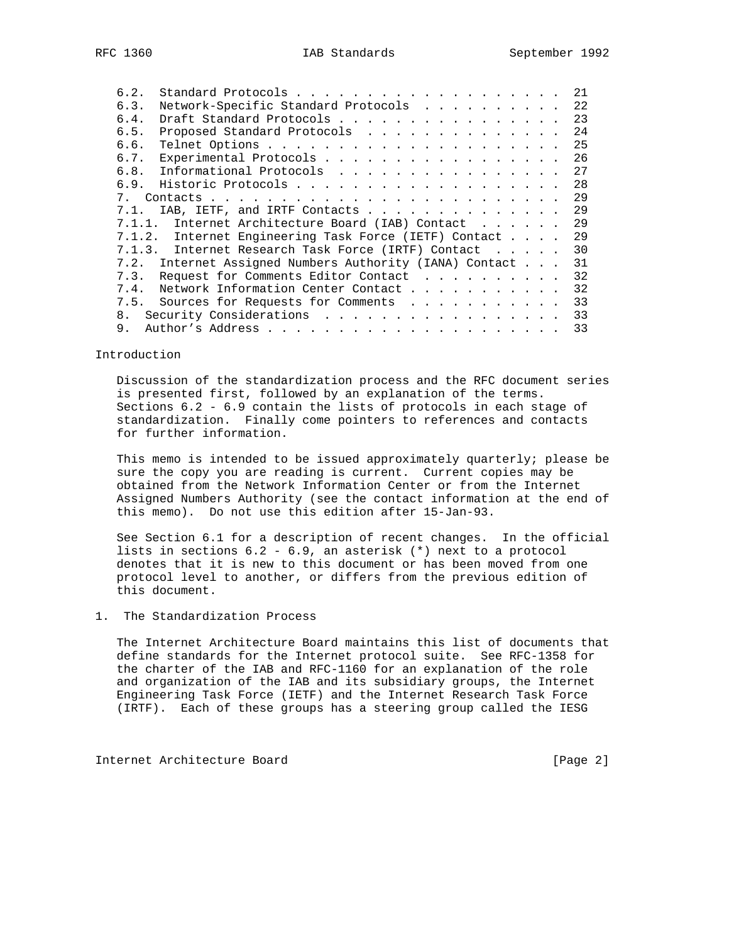| 6.2.        |                                                    |  | 2.1 |
|-------------|----------------------------------------------------|--|-----|
| 6.3.        | Network-Specific Standard Protocols                |  | 22  |
| 6.4.        | Draft Standard Protocols                           |  | 23  |
| 6.5.        | Proposed Standard Protocols                        |  | 24  |
| 6.6.        |                                                    |  | 25  |
| 6.7.        | Experimental Protocols                             |  | 26  |
| 6.8.        | Informational Protocols                            |  | 27  |
| 6.9.        |                                                    |  | 28  |
| $7_{\circ}$ |                                                    |  | 29  |
| 7.1.        | IAB, IETF, and IRTF Contacts                       |  | 29  |
| 7.1.1.      | Internet Architecture Board (IAB) Contact          |  | 29  |
| 7.1.2.      | Internet Engineering Task Force (IETF) Contact     |  | 29  |
| 7.1.3.      | Internet Research Task Force (IRTF) Contact        |  | 30  |
| 7.2.        | Internet Assigned Numbers Authority (IANA) Contact |  | 31  |
| 7.3.        | Request for Comments Editor Contact                |  | 32  |
| 7.4.        | Network Information Center Contact                 |  | 32  |
| 7.5.        | Sources for Requests for Comments                  |  | 33  |
| 8.          | Security Considerations                            |  | 33  |
| 9.          |                                                    |  | 33  |

#### Introduction

 Discussion of the standardization process and the RFC document series is presented first, followed by an explanation of the terms. Sections 6.2 - 6.9 contain the lists of protocols in each stage of standardization. Finally come pointers to references and contacts for further information.

 This memo is intended to be issued approximately quarterly; please be sure the copy you are reading is current. Current copies may be obtained from the Network Information Center or from the Internet Assigned Numbers Authority (see the contact information at the end of this memo). Do not use this edition after 15-Jan-93.

 See Section 6.1 for a description of recent changes. In the official lists in sections 6.2 - 6.9, an asterisk (\*) next to a protocol denotes that it is new to this document or has been moved from one protocol level to another, or differs from the previous edition of this document.

### 1. The Standardization Process

 The Internet Architecture Board maintains this list of documents that define standards for the Internet protocol suite. See RFC-1358 for the charter of the IAB and RFC-1160 for an explanation of the role and organization of the IAB and its subsidiary groups, the Internet Engineering Task Force (IETF) and the Internet Research Task Force (IRTF). Each of these groups has a steering group called the IESG

Internet Architecture Board [Page 2]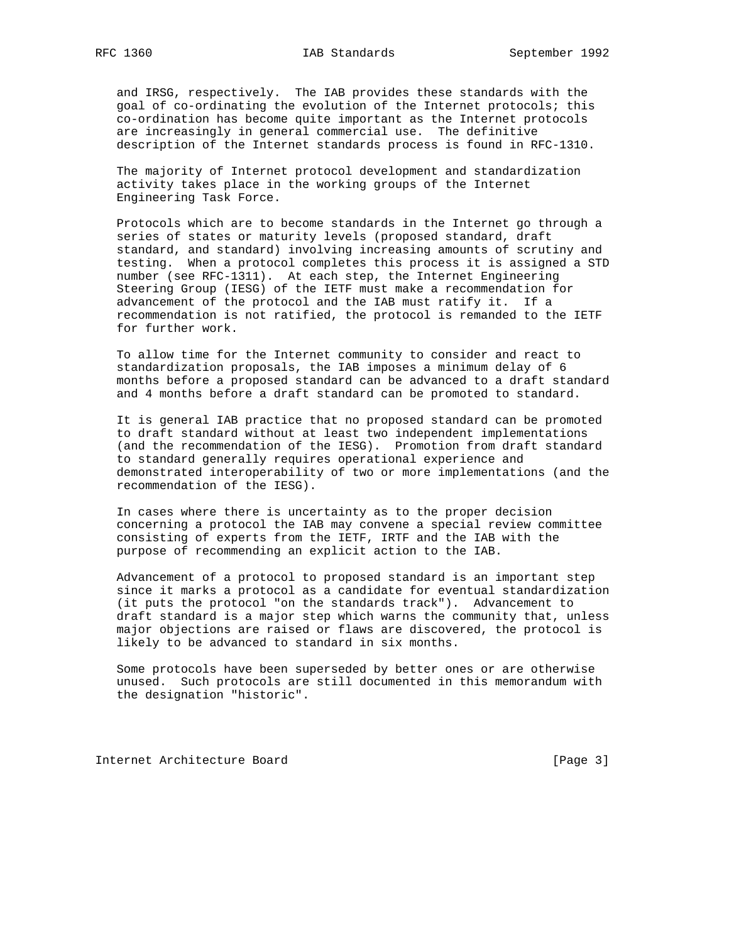and IRSG, respectively. The IAB provides these standards with the goal of co-ordinating the evolution of the Internet protocols; this co-ordination has become quite important as the Internet protocols are increasingly in general commercial use. The definitive description of the Internet standards process is found in RFC-1310.

 The majority of Internet protocol development and standardization activity takes place in the working groups of the Internet Engineering Task Force.

 Protocols which are to become standards in the Internet go through a series of states or maturity levels (proposed standard, draft standard, and standard) involving increasing amounts of scrutiny and testing. When a protocol completes this process it is assigned a STD number (see RFC-1311). At each step, the Internet Engineering Steering Group (IESG) of the IETF must make a recommendation for advancement of the protocol and the IAB must ratify it. If a recommendation is not ratified, the protocol is remanded to the IETF for further work.

 To allow time for the Internet community to consider and react to standardization proposals, the IAB imposes a minimum delay of 6 months before a proposed standard can be advanced to a draft standard and 4 months before a draft standard can be promoted to standard.

 It is general IAB practice that no proposed standard can be promoted to draft standard without at least two independent implementations (and the recommendation of the IESG). Promotion from draft standard to standard generally requires operational experience and demonstrated interoperability of two or more implementations (and the recommendation of the IESG).

 In cases where there is uncertainty as to the proper decision concerning a protocol the IAB may convene a special review committee consisting of experts from the IETF, IRTF and the IAB with the purpose of recommending an explicit action to the IAB.

 Advancement of a protocol to proposed standard is an important step since it marks a protocol as a candidate for eventual standardization (it puts the protocol "on the standards track"). Advancement to draft standard is a major step which warns the community that, unless major objections are raised or flaws are discovered, the protocol is likely to be advanced to standard in six months.

 Some protocols have been superseded by better ones or are otherwise unused. Such protocols are still documented in this memorandum with the designation "historic".

Internet Architecture Board [Page 3]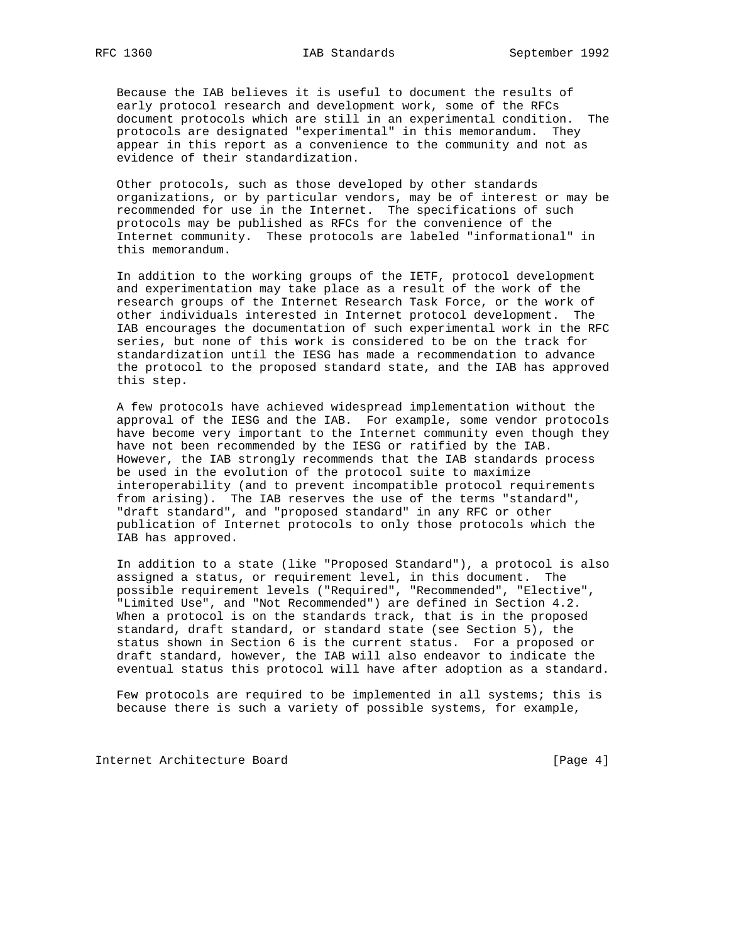Because the IAB believes it is useful to document the results of early protocol research and development work, some of the RFCs document protocols which are still in an experimental condition. The protocols are designated "experimental" in this memorandum. They appear in this report as a convenience to the community and not as evidence of their standardization.

 Other protocols, such as those developed by other standards organizations, or by particular vendors, may be of interest or may be recommended for use in the Internet. The specifications of such protocols may be published as RFCs for the convenience of the Internet community. These protocols are labeled "informational" in this memorandum.

 In addition to the working groups of the IETF, protocol development and experimentation may take place as a result of the work of the research groups of the Internet Research Task Force, or the work of other individuals interested in Internet protocol development. The IAB encourages the documentation of such experimental work in the RFC series, but none of this work is considered to be on the track for standardization until the IESG has made a recommendation to advance the protocol to the proposed standard state, and the IAB has approved this step.

 A few protocols have achieved widespread implementation without the approval of the IESG and the IAB. For example, some vendor protocols have become very important to the Internet community even though they have not been recommended by the IESG or ratified by the IAB. However, the IAB strongly recommends that the IAB standards process be used in the evolution of the protocol suite to maximize interoperability (and to prevent incompatible protocol requirements from arising). The IAB reserves the use of the terms "standard", "draft standard", and "proposed standard" in any RFC or other publication of Internet protocols to only those protocols which the IAB has approved.

 In addition to a state (like "Proposed Standard"), a protocol is also assigned a status, or requirement level, in this document. The possible requirement levels ("Required", "Recommended", "Elective", "Limited Use", and "Not Recommended") are defined in Section 4.2. When a protocol is on the standards track, that is in the proposed standard, draft standard, or standard state (see Section 5), the status shown in Section 6 is the current status. For a proposed or draft standard, however, the IAB will also endeavor to indicate the eventual status this protocol will have after adoption as a standard.

 Few protocols are required to be implemented in all systems; this is because there is such a variety of possible systems, for example,

Internet Architecture Board [Page 4]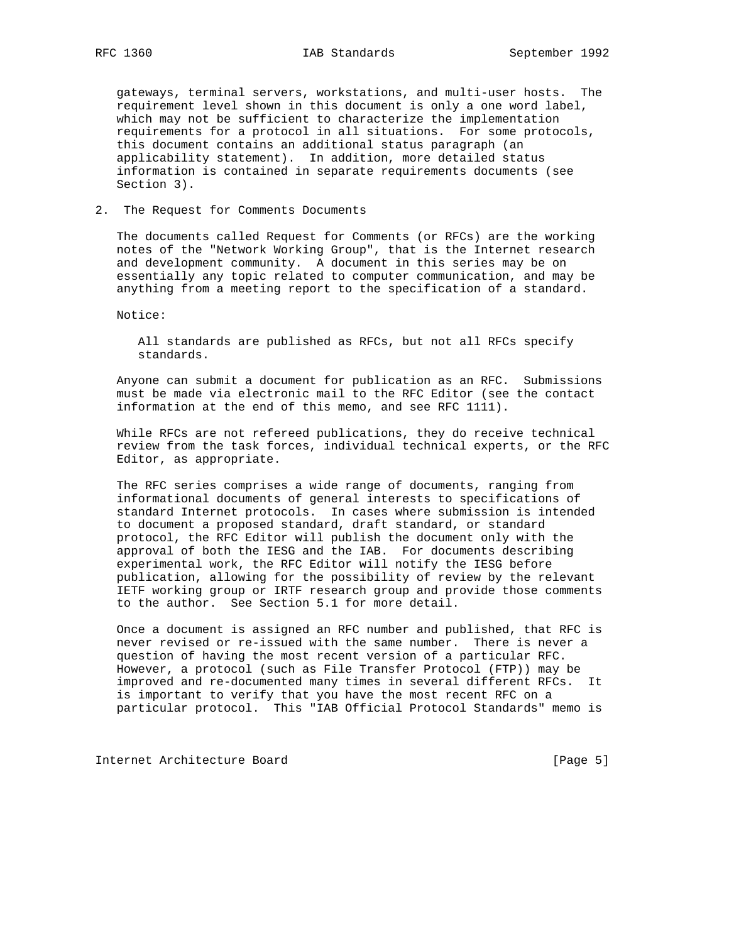gateways, terminal servers, workstations, and multi-user hosts. The requirement level shown in this document is only a one word label, which may not be sufficient to characterize the implementation requirements for a protocol in all situations. For some protocols, this document contains an additional status paragraph (an applicability statement). In addition, more detailed status information is contained in separate requirements documents (see Section 3).

### 2. The Request for Comments Documents

 The documents called Request for Comments (or RFCs) are the working notes of the "Network Working Group", that is the Internet research and development community. A document in this series may be on essentially any topic related to computer communication, and may be anything from a meeting report to the specification of a standard.

Notice:

 All standards are published as RFCs, but not all RFCs specify standards.

 Anyone can submit a document for publication as an RFC. Submissions must be made via electronic mail to the RFC Editor (see the contact information at the end of this memo, and see RFC 1111).

 While RFCs are not refereed publications, they do receive technical review from the task forces, individual technical experts, or the RFC Editor, as appropriate.

 The RFC series comprises a wide range of documents, ranging from informational documents of general interests to specifications of standard Internet protocols. In cases where submission is intended to document a proposed standard, draft standard, or standard protocol, the RFC Editor will publish the document only with the approval of both the IESG and the IAB. For documents describing experimental work, the RFC Editor will notify the IESG before publication, allowing for the possibility of review by the relevant IETF working group or IRTF research group and provide those comments to the author. See Section 5.1 for more detail.

 Once a document is assigned an RFC number and published, that RFC is never revised or re-issued with the same number. There is never a question of having the most recent version of a particular RFC. However, a protocol (such as File Transfer Protocol (FTP)) may be improved and re-documented many times in several different RFCs. It is important to verify that you have the most recent RFC on a particular protocol. This "IAB Official Protocol Standards" memo is

Internet Architecture Board [Page 5]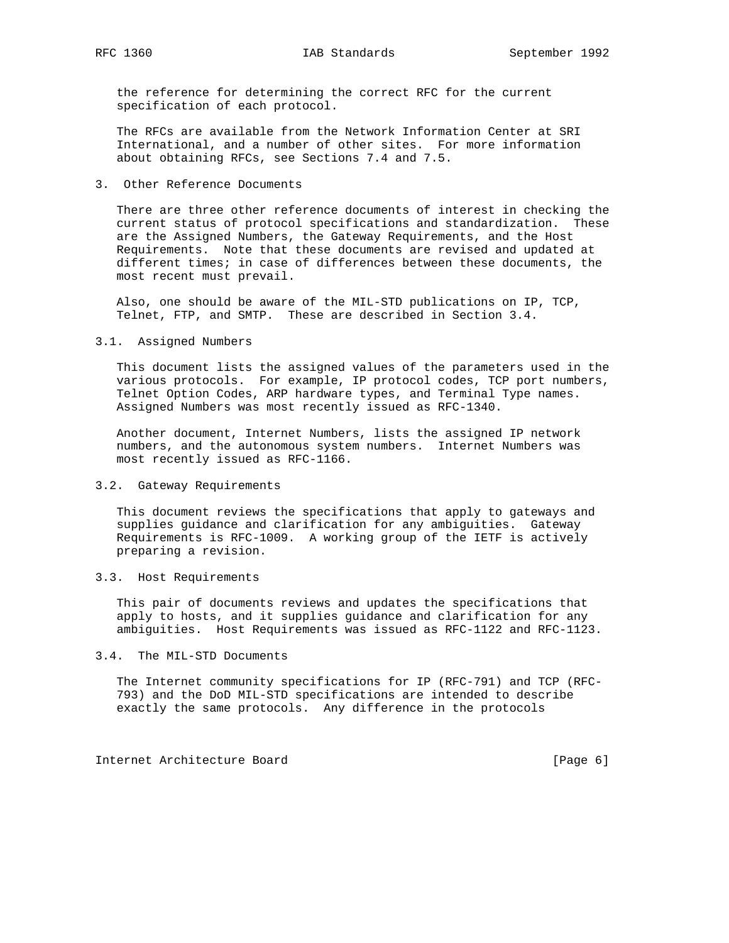the reference for determining the correct RFC for the current specification of each protocol.

 The RFCs are available from the Network Information Center at SRI International, and a number of other sites. For more information about obtaining RFCs, see Sections 7.4 and 7.5.

3. Other Reference Documents

 There are three other reference documents of interest in checking the current status of protocol specifications and standardization. These are the Assigned Numbers, the Gateway Requirements, and the Host Requirements. Note that these documents are revised and updated at different times; in case of differences between these documents, the most recent must prevail.

 Also, one should be aware of the MIL-STD publications on IP, TCP, Telnet, FTP, and SMTP. These are described in Section 3.4.

3.1. Assigned Numbers

 This document lists the assigned values of the parameters used in the various protocols. For example, IP protocol codes, TCP port numbers, Telnet Option Codes, ARP hardware types, and Terminal Type names. Assigned Numbers was most recently issued as RFC-1340.

 Another document, Internet Numbers, lists the assigned IP network numbers, and the autonomous system numbers. Internet Numbers was most recently issued as RFC-1166.

#### 3.2. Gateway Requirements

 This document reviews the specifications that apply to gateways and supplies guidance and clarification for any ambiguities. Gateway Requirements is RFC-1009. A working group of the IETF is actively preparing a revision.

3.3. Host Requirements

 This pair of documents reviews and updates the specifications that apply to hosts, and it supplies guidance and clarification for any ambiguities. Host Requirements was issued as RFC-1122 and RFC-1123.

3.4. The MIL-STD Documents

 The Internet community specifications for IP (RFC-791) and TCP (RFC- 793) and the DoD MIL-STD specifications are intended to describe exactly the same protocols. Any difference in the protocols

Internet Architecture Board [Page 6]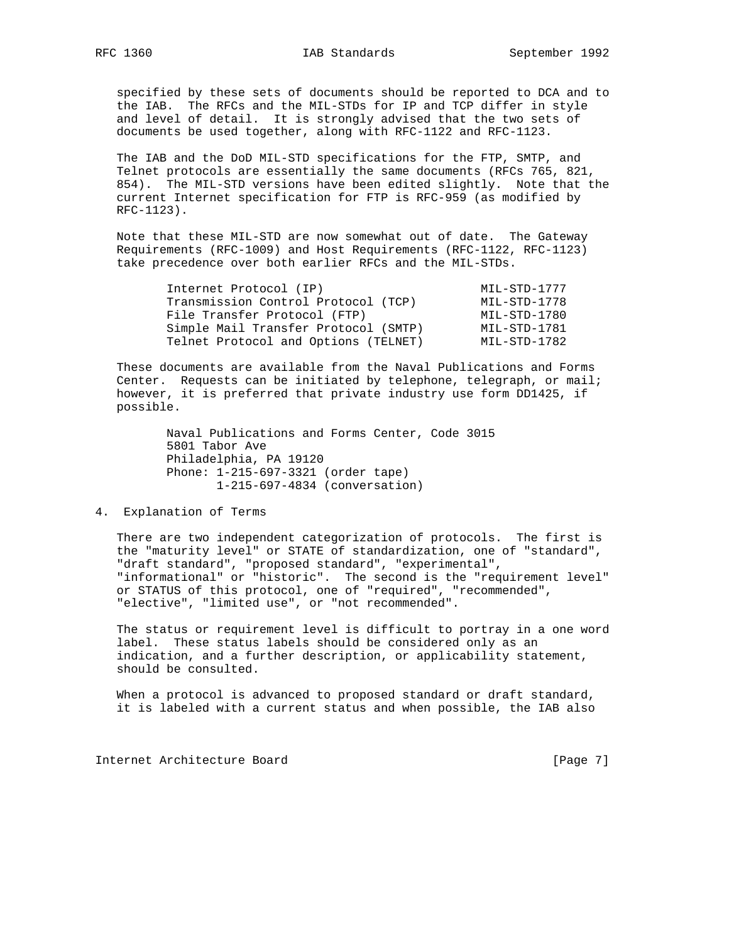specified by these sets of documents should be reported to DCA and to the IAB. The RFCs and the MIL-STDs for IP and TCP differ in style and level of detail. It is strongly advised that the two sets of documents be used together, along with RFC-1122 and RFC-1123.

 The IAB and the DoD MIL-STD specifications for the FTP, SMTP, and Telnet protocols are essentially the same documents (RFCs 765, 821, 854). The MIL-STD versions have been edited slightly. Note that the current Internet specification for FTP is RFC-959 (as modified by RFC-1123).

 Note that these MIL-STD are now somewhat out of date. The Gateway Requirements (RFC-1009) and Host Requirements (RFC-1122, RFC-1123) take precedence over both earlier RFCs and the MIL-STDs.

| Internet Protocol (IP)               | MIL-STD-1777 |
|--------------------------------------|--------------|
| Transmission Control Protocol (TCP)  | MIL-STD-1778 |
| File Transfer Protocol (FTP)         | MIL-STD-1780 |
| Simple Mail Transfer Protocol (SMTP) | MIL-STD-1781 |
| Telnet Protocol and Options (TELNET) | MIL-STD-1782 |

 These documents are available from the Naval Publications and Forms Center. Requests can be initiated by telephone, telegraph, or mail; however, it is preferred that private industry use form DD1425, if possible.

> Naval Publications and Forms Center, Code 3015 5801 Tabor Ave Philadelphia, PA 19120 Phone: 1-215-697-3321 (order tape) 1-215-697-4834 (conversation)

4. Explanation of Terms

 There are two independent categorization of protocols. The first is the "maturity level" or STATE of standardization, one of "standard", "draft standard", "proposed standard", "experimental", "informational" or "historic". The second is the "requirement level" or STATUS of this protocol, one of "required", "recommended", "elective", "limited use", or "not recommended".

 The status or requirement level is difficult to portray in a one word label. These status labels should be considered only as an indication, and a further description, or applicability statement, should be consulted.

When a protocol is advanced to proposed standard or draft standard, it is labeled with a current status and when possible, the IAB also

Internet Architecture Board [Page 7]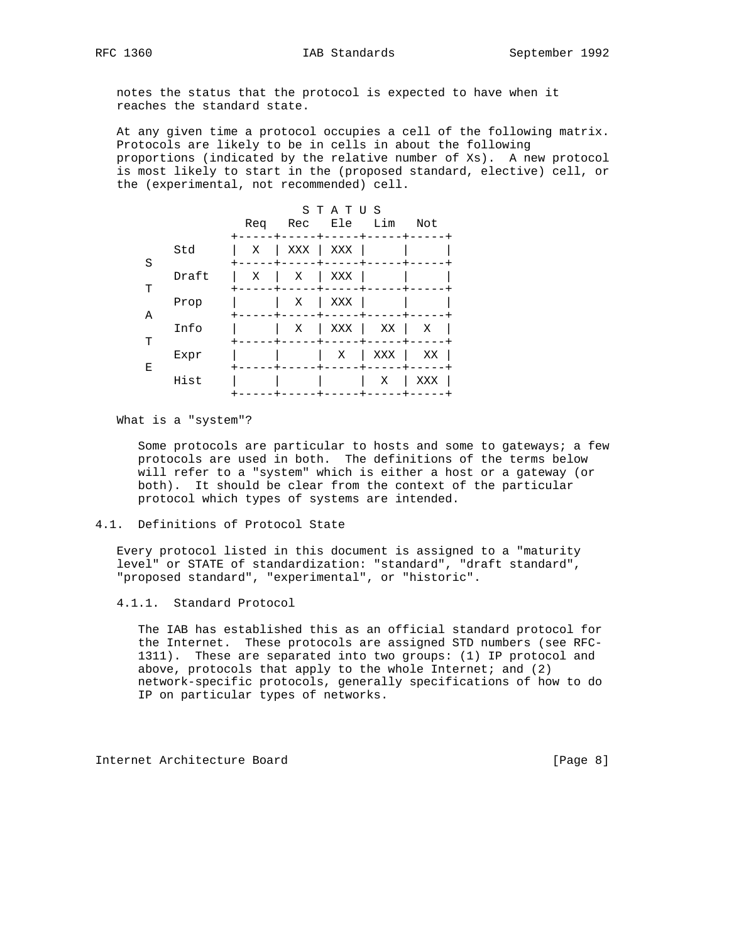notes the status that the protocol is expected to have when it

reaches the standard state.

 At any given time a protocol occupies a cell of the following matrix. Protocols are likely to be in cells in about the following proportions (indicated by the relative number of Xs). A new protocol is most likely to start in the (proposed standard, elective) cell, or the (experimental, not recommended) cell.

|   |       | Req | Rec | STATUS<br>Ele | Lim | Not |
|---|-------|-----|-----|---------------|-----|-----|
| S | Std   | Χ   | XXX | XXX           |     |     |
| т | Draft | Χ   | Χ   | XXX           |     |     |
| Α | Prop  |     | Χ   | XXX           |     |     |
| T | Info  |     | Χ   | XXX           | ΧX  | Χ   |
| Ε | Expr  |     |     | Χ             | XXX | ΧX  |
|   | Hist  |     |     |               | Χ   | XXX |

What is a "system"?

 Some protocols are particular to hosts and some to gateways; a few protocols are used in both. The definitions of the terms below will refer to a "system" which is either a host or a gateway (or both). It should be clear from the context of the particular protocol which types of systems are intended.

### 4.1. Definitions of Protocol State

 Every protocol listed in this document is assigned to a "maturity level" or STATE of standardization: "standard", "draft standard", "proposed standard", "experimental", or "historic".

4.1.1. Standard Protocol

 The IAB has established this as an official standard protocol for the Internet. These protocols are assigned STD numbers (see RFC- 1311). These are separated into two groups: (1) IP protocol and above, protocols that apply to the whole Internet; and  $(2)$  network-specific protocols, generally specifications of how to do IP on particular types of networks.

Internet Architecture Board [Page 8]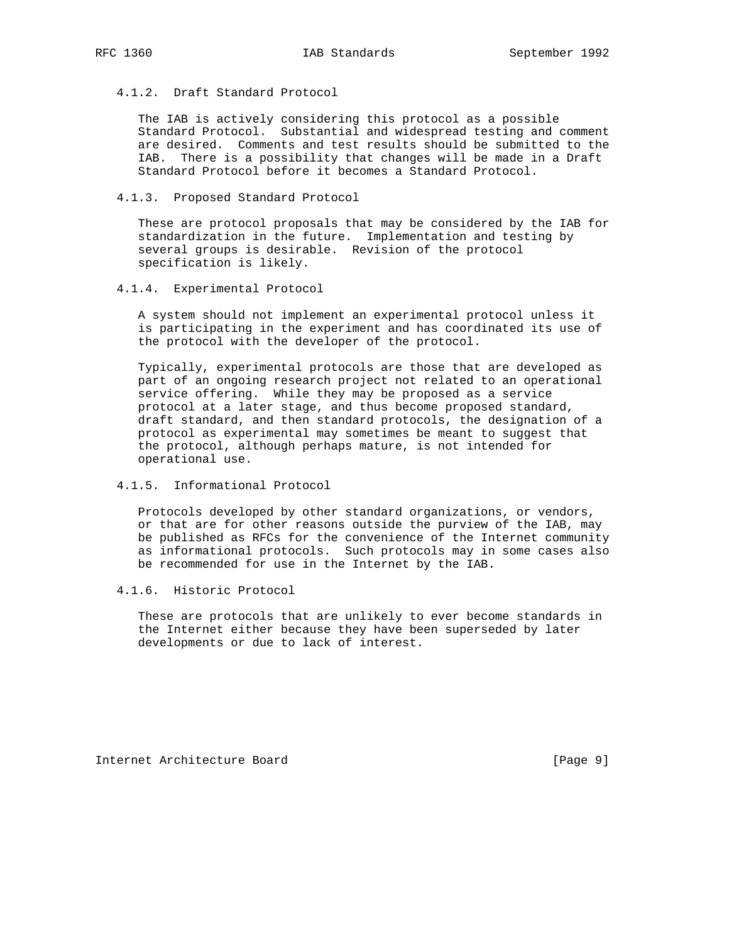4.1.2. Draft Standard Protocol

 The IAB is actively considering this protocol as a possible Standard Protocol. Substantial and widespread testing and comment are desired. Comments and test results should be submitted to the IAB. There is a possibility that changes will be made in a Draft Standard Protocol before it becomes a Standard Protocol.

4.1.3. Proposed Standard Protocol

 These are protocol proposals that may be considered by the IAB for standardization in the future. Implementation and testing by several groups is desirable. Revision of the protocol specification is likely.

4.1.4. Experimental Protocol

 A system should not implement an experimental protocol unless it is participating in the experiment and has coordinated its use of the protocol with the developer of the protocol.

 Typically, experimental protocols are those that are developed as part of an ongoing research project not related to an operational service offering. While they may be proposed as a service protocol at a later stage, and thus become proposed standard, draft standard, and then standard protocols, the designation of a protocol as experimental may sometimes be meant to suggest that the protocol, although perhaps mature, is not intended for operational use.

4.1.5. Informational Protocol

 Protocols developed by other standard organizations, or vendors, or that are for other reasons outside the purview of the IAB, may be published as RFCs for the convenience of the Internet community as informational protocols. Such protocols may in some cases also be recommended for use in the Internet by the IAB.

4.1.6. Historic Protocol

 These are protocols that are unlikely to ever become standards in the Internet either because they have been superseded by later developments or due to lack of interest.

Internet Architecture Board [Page 9]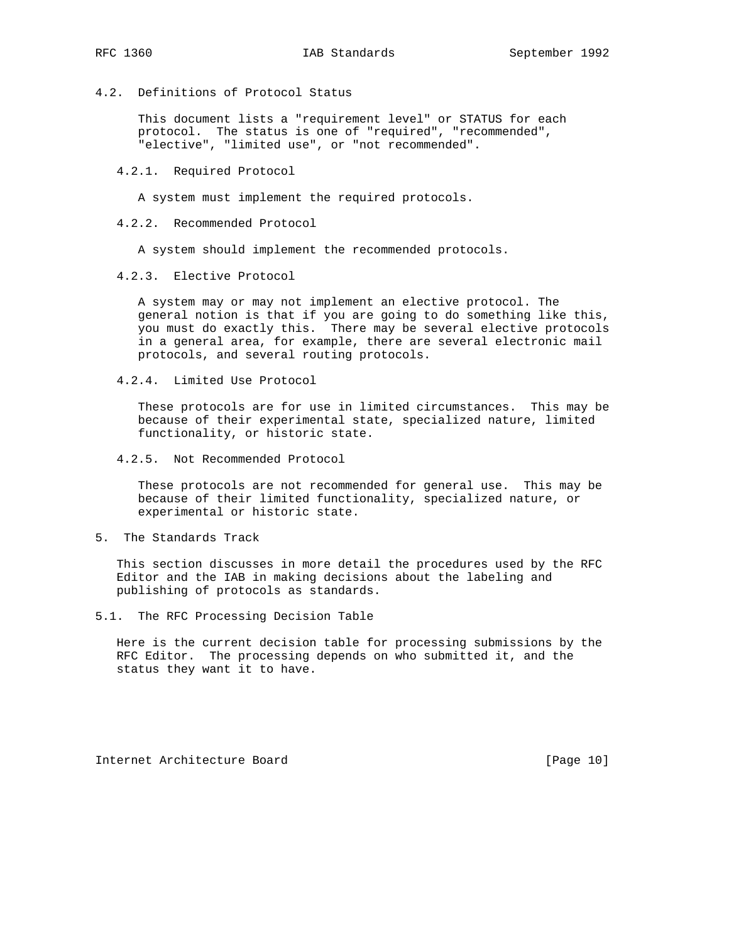4.2. Definitions of Protocol Status

 This document lists a "requirement level" or STATUS for each protocol. The status is one of "required", "recommended", "elective", "limited use", or "not recommended".

4.2.1. Required Protocol

A system must implement the required protocols.

4.2.2. Recommended Protocol

A system should implement the recommended protocols.

4.2.3. Elective Protocol

 A system may or may not implement an elective protocol. The general notion is that if you are going to do something like this, you must do exactly this. There may be several elective protocols in a general area, for example, there are several electronic mail protocols, and several routing protocols.

4.2.4. Limited Use Protocol

 These protocols are for use in limited circumstances. This may be because of their experimental state, specialized nature, limited functionality, or historic state.

4.2.5. Not Recommended Protocol

 These protocols are not recommended for general use. This may be because of their limited functionality, specialized nature, or experimental or historic state.

5. The Standards Track

 This section discusses in more detail the procedures used by the RFC Editor and the IAB in making decisions about the labeling and publishing of protocols as standards.

5.1. The RFC Processing Decision Table

 Here is the current decision table for processing submissions by the RFC Editor. The processing depends on who submitted it, and the status they want it to have.

Internet Architecture Board [Page 10]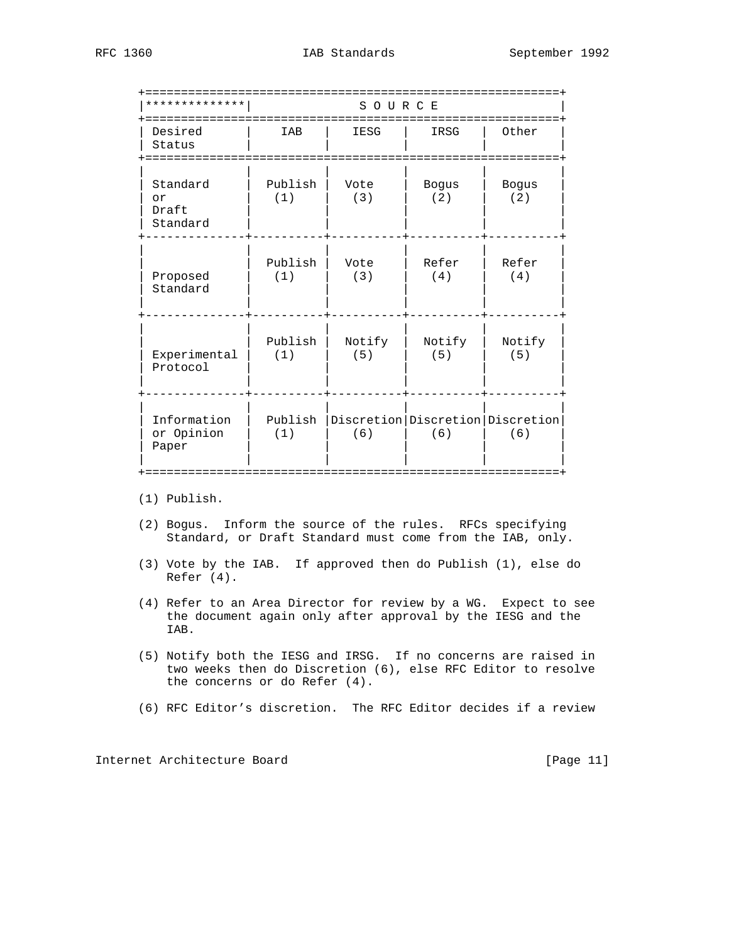| * * * * * * * * * * *               |                | SOURCE                                        |                     |                     |
|-------------------------------------|----------------|-----------------------------------------------|---------------------|---------------------|
| Desired<br>Status<br>:==========    | IAB            | IESG                                          | IRSG                | Other               |
| Standard<br>or<br>Draft<br>Standard | Publish<br>(1) | Vote<br>(3)                                   | <b>Bogus</b><br>(2) | <b>Bogus</b><br>(2) |
| Proposed<br>Standard                | Publish<br>(1) | Vote<br>(3)                                   | Refer<br>(4)        | Refer<br>(4)        |
| Experimental<br>Protocol            | Publish<br>(1) | Notify<br>(5)                                 | Notify<br>(5)       | Notify<br>(5)       |
| Information<br>or Opinion<br>Paper  | Publish<br>(1) | Discretion   Discretion   Discretion  <br>(6) | (6)                 | (6)                 |

(1) Publish.

- (2) Bogus. Inform the source of the rules. RFCs specifying Standard, or Draft Standard must come from the IAB, only.
- (3) Vote by the IAB. If approved then do Publish (1), else do Refer (4).
- (4) Refer to an Area Director for review by a WG. Expect to see the document again only after approval by the IESG and the IAB.
- (5) Notify both the IESG and IRSG. If no concerns are raised in two weeks then do Discretion (6), else RFC Editor to resolve the concerns or do Refer (4).
- (6) RFC Editor's discretion. The RFC Editor decides if a review

Internet Architecture Board [Page 11]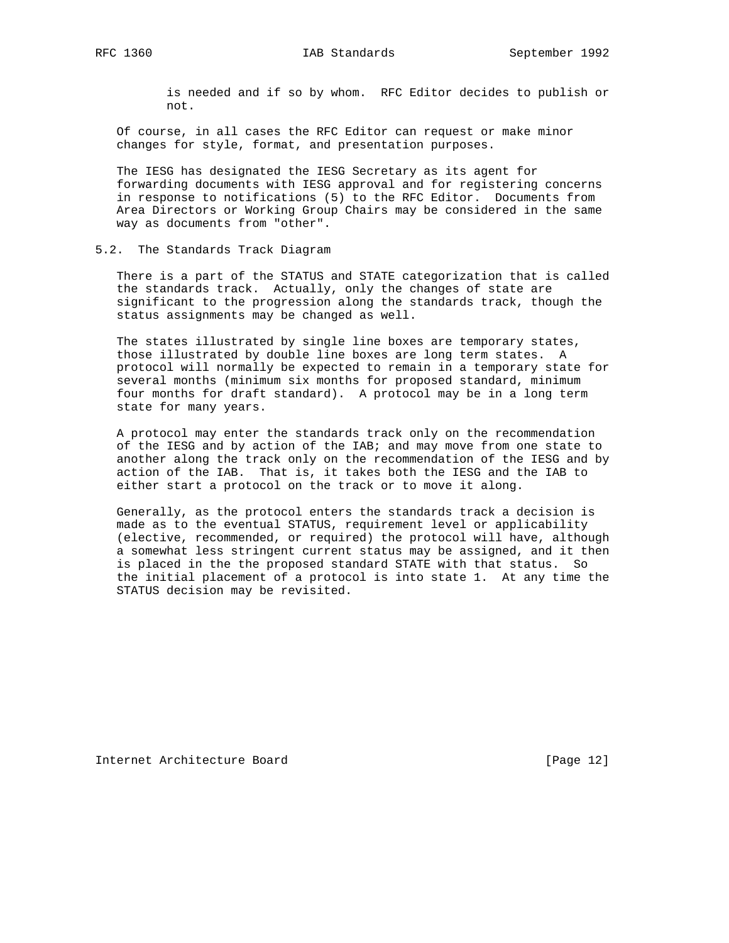is needed and if so by whom. RFC Editor decides to publish or not.

 Of course, in all cases the RFC Editor can request or make minor changes for style, format, and presentation purposes.

 The IESG has designated the IESG Secretary as its agent for forwarding documents with IESG approval and for registering concerns in response to notifications (5) to the RFC Editor. Documents from Area Directors or Working Group Chairs may be considered in the same way as documents from "other".

#### 5.2. The Standards Track Diagram

 There is a part of the STATUS and STATE categorization that is called the standards track. Actually, only the changes of state are significant to the progression along the standards track, though the status assignments may be changed as well.

 The states illustrated by single line boxes are temporary states, those illustrated by double line boxes are long term states. A protocol will normally be expected to remain in a temporary state for several months (minimum six months for proposed standard, minimum four months for draft standard). A protocol may be in a long term state for many years.

 A protocol may enter the standards track only on the recommendation of the IESG and by action of the IAB; and may move from one state to another along the track only on the recommendation of the IESG and by action of the IAB. That is, it takes both the IESG and the IAB to either start a protocol on the track or to move it along.

 Generally, as the protocol enters the standards track a decision is made as to the eventual STATUS, requirement level or applicability (elective, recommended, or required) the protocol will have, although a somewhat less stringent current status may be assigned, and it then is placed in the the proposed standard STATE with that status. So the initial placement of a protocol is into state 1. At any time the STATUS decision may be revisited.

Internet Architecture Board [Page 12]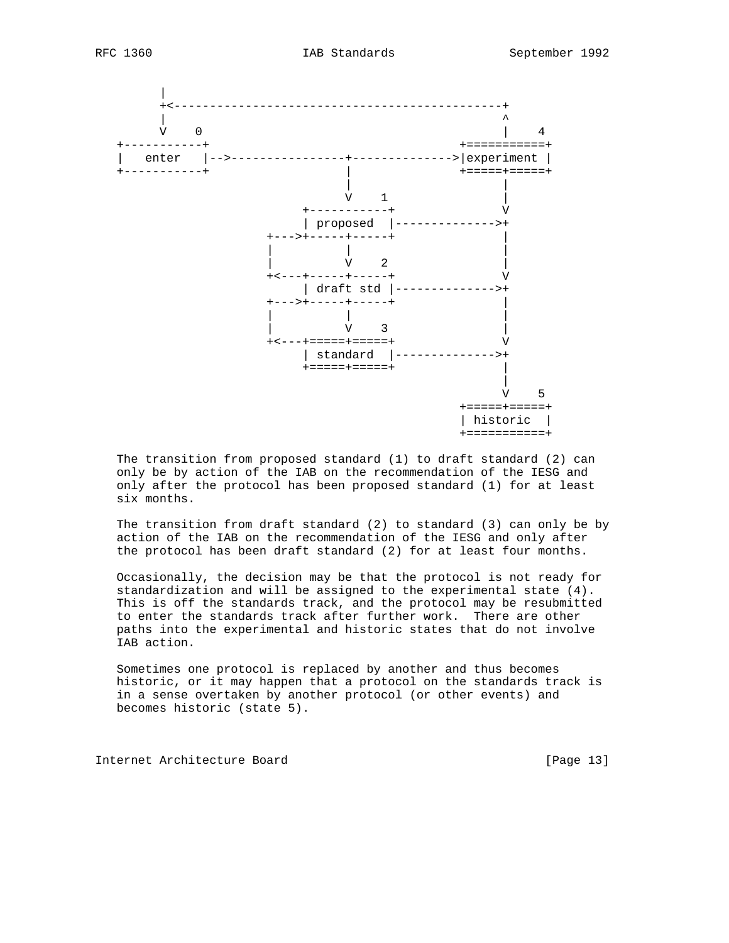

 The transition from proposed standard (1) to draft standard (2) can only be by action of the IAB on the recommendation of the IESG and only after the protocol has been proposed standard (1) for at least six months.

 The transition from draft standard (2) to standard (3) can only be by action of the IAB on the recommendation of the IESG and only after the protocol has been draft standard (2) for at least four months.

 Occasionally, the decision may be that the protocol is not ready for standardization and will be assigned to the experimental state (4). This is off the standards track, and the protocol may be resubmitted to enter the standards track after further work. There are other paths into the experimental and historic states that do not involve IAB action.

 Sometimes one protocol is replaced by another and thus becomes historic, or it may happen that a protocol on the standards track is in a sense overtaken by another protocol (or other events) and becomes historic (state 5).

Internet Architecture Board [Page 13]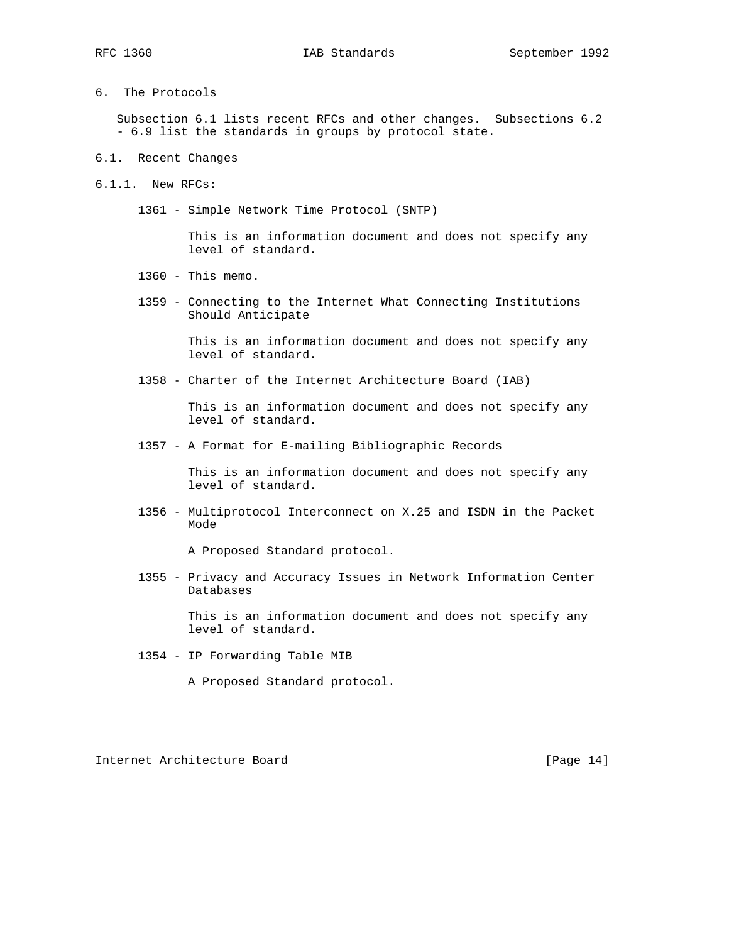6. The Protocols

 Subsection 6.1 lists recent RFCs and other changes. Subsections 6.2 - 6.9 list the standards in groups by protocol state.

- 6.1. Recent Changes
- 6.1.1. New RFCs:
	- 1361 Simple Network Time Protocol (SNTP)

 This is an information document and does not specify any level of standard.

- 1360 This memo.
- 1359 Connecting to the Internet What Connecting Institutions Should Anticipate

 This is an information document and does not specify any level of standard.

1358 - Charter of the Internet Architecture Board (IAB)

 This is an information document and does not specify any level of standard.

1357 - A Format for E-mailing Bibliographic Records

 This is an information document and does not specify any level of standard.

 1356 - Multiprotocol Interconnect on X.25 and ISDN in the Packet Mode

A Proposed Standard protocol.

 1355 - Privacy and Accuracy Issues in Network Information Center Databases

> This is an information document and does not specify any level of standard.

1354 - IP Forwarding Table MIB

A Proposed Standard protocol.

Internet Architecture Board [Page 14]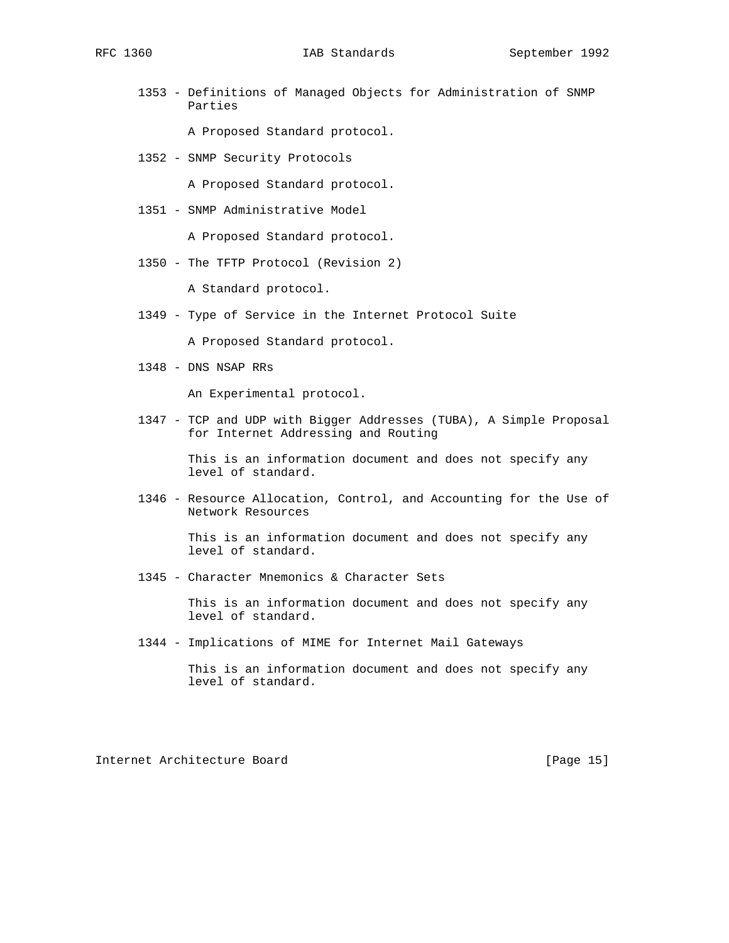1353 - Definitions of Managed Objects for Administration of SNMP Parties

A Proposed Standard protocol.

1352 - SNMP Security Protocols

A Proposed Standard protocol.

1351 - SNMP Administrative Model

A Proposed Standard protocol.

1350 - The TFTP Protocol (Revision 2)

A Standard protocol.

1349 - Type of Service in the Internet Protocol Suite

A Proposed Standard protocol.

1348 - DNS NSAP RRs

An Experimental protocol.

 1347 - TCP and UDP with Bigger Addresses (TUBA), A Simple Proposal for Internet Addressing and Routing

> This is an information document and does not specify any level of standard.

 1346 - Resource Allocation, Control, and Accounting for the Use of Network Resources

> This is an information document and does not specify any level of standard.

1345 - Character Mnemonics & Character Sets

 This is an information document and does not specify any level of standard.

1344 - Implications of MIME for Internet Mail Gateways

 This is an information document and does not specify any level of standard.

Internet Architecture Board [Page 15]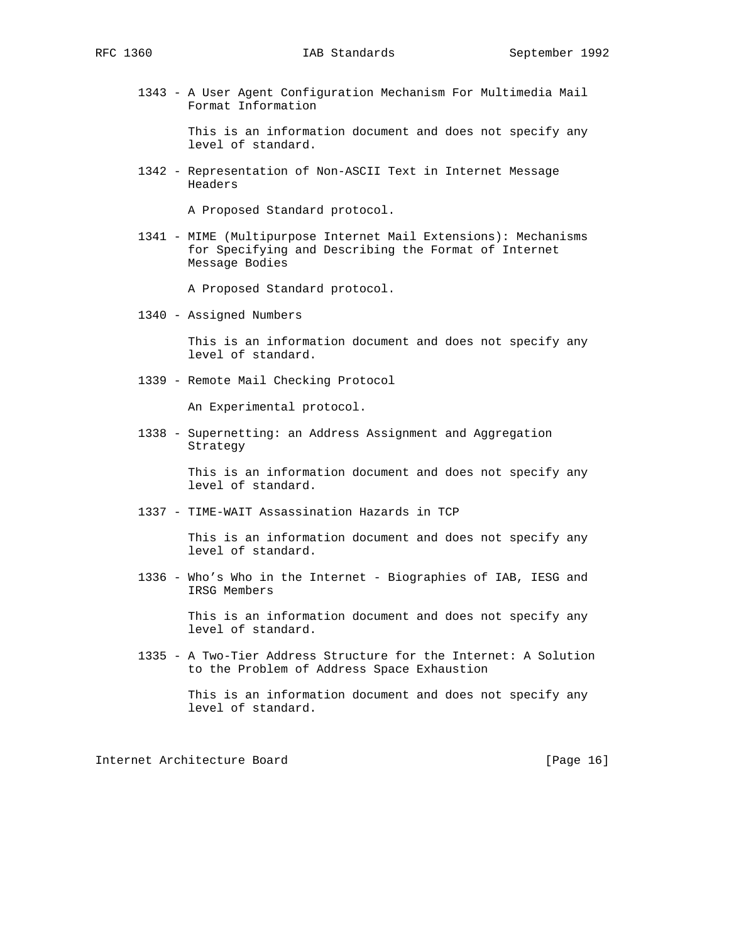1343 - A User Agent Configuration Mechanism For Multimedia Mail Format Information

> This is an information document and does not specify any level of standard.

 1342 - Representation of Non-ASCII Text in Internet Message Headers

A Proposed Standard protocol.

 1341 - MIME (Multipurpose Internet Mail Extensions): Mechanisms for Specifying and Describing the Format of Internet Message Bodies

A Proposed Standard protocol.

1340 - Assigned Numbers

 This is an information document and does not specify any level of standard.

1339 - Remote Mail Checking Protocol

An Experimental protocol.

 1338 - Supernetting: an Address Assignment and Aggregation Strategy

> This is an information document and does not specify any level of standard.

1337 - TIME-WAIT Assassination Hazards in TCP

 This is an information document and does not specify any level of standard.

 1336 - Who's Who in the Internet - Biographies of IAB, IESG and IRSG Members

> This is an information document and does not specify any level of standard.

 1335 - A Two-Tier Address Structure for the Internet: A Solution to the Problem of Address Space Exhaustion

Internet Architecture Board [Page 16]

This is an information document and does not specify any level of standard.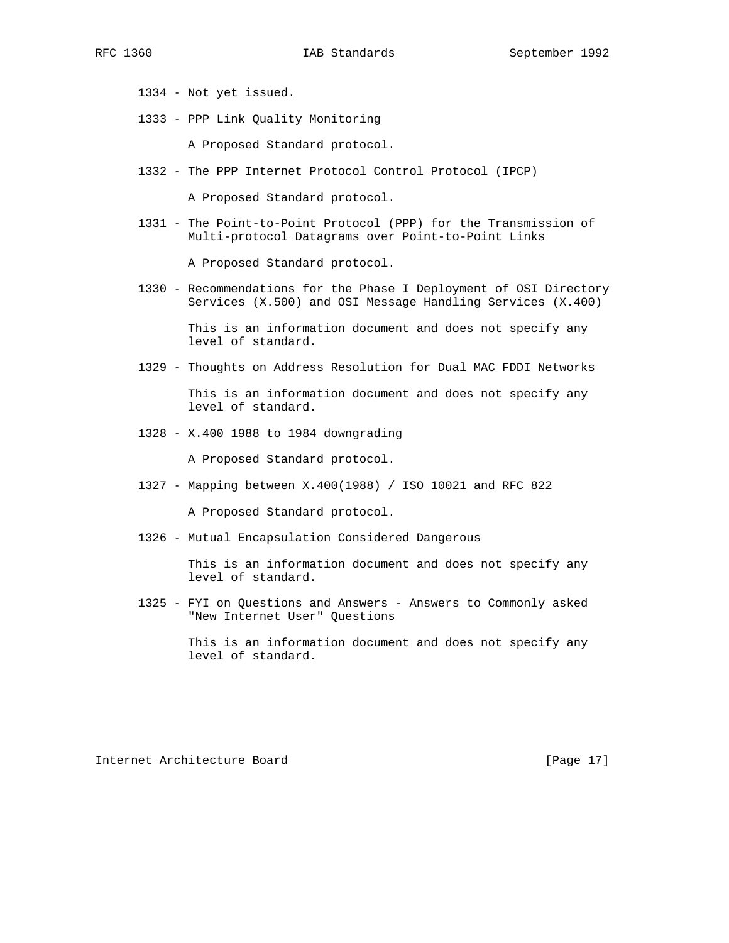- 1334 Not yet issued.
- 1333 PPP Link Quality Monitoring

A Proposed Standard protocol.

1332 - The PPP Internet Protocol Control Protocol (IPCP)

A Proposed Standard protocol.

 1331 - The Point-to-Point Protocol (PPP) for the Transmission of Multi-protocol Datagrams over Point-to-Point Links

A Proposed Standard protocol.

 1330 - Recommendations for the Phase I Deployment of OSI Directory Services (X.500) and OSI Message Handling Services (X.400)

> This is an information document and does not specify any level of standard.

- 1329 Thoughts on Address Resolution for Dual MAC FDDI Networks This is an information document and does not specify any level of standard.
- 1328 X.400 1988 to 1984 downgrading

A Proposed Standard protocol.

1327 - Mapping between X.400(1988) / ISO 10021 and RFC 822

A Proposed Standard protocol.

1326 - Mutual Encapsulation Considered Dangerous

 This is an information document and does not specify any level of standard.

 1325 - FYI on Questions and Answers - Answers to Commonly asked "New Internet User" Questions

> This is an information document and does not specify any level of standard.

Internet Architecture Board [Page 17]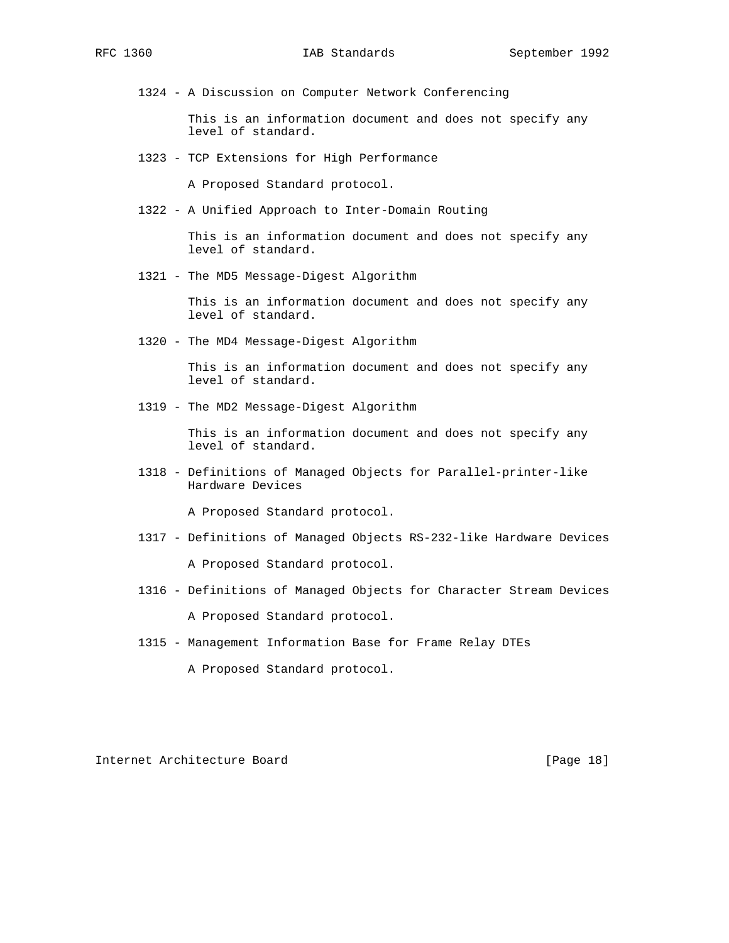1324 - A Discussion on Computer Network Conferencing

 This is an information document and does not specify any level of standard.

1323 - TCP Extensions for High Performance

A Proposed Standard protocol.

1322 - A Unified Approach to Inter-Domain Routing

 This is an information document and does not specify any level of standard.

1321 - The MD5 Message-Digest Algorithm

 This is an information document and does not specify any level of standard.

1320 - The MD4 Message-Digest Algorithm

 This is an information document and does not specify any level of standard.

1319 - The MD2 Message-Digest Algorithm

 This is an information document and does not specify any level of standard.

 1318 - Definitions of Managed Objects for Parallel-printer-like Hardware Devices

A Proposed Standard protocol.

1317 - Definitions of Managed Objects RS-232-like Hardware Devices

A Proposed Standard protocol.

1316 - Definitions of Managed Objects for Character Stream Devices

A Proposed Standard protocol.

1315 - Management Information Base for Frame Relay DTEs

A Proposed Standard protocol.

Internet Architecture Board [Page 18]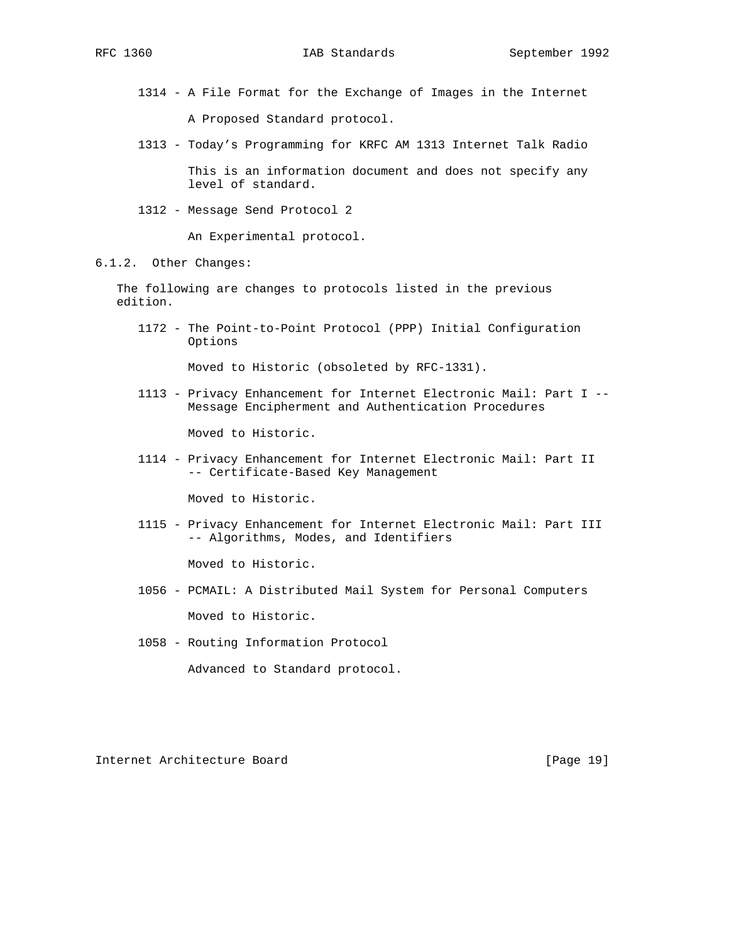- 1314 A File Format for the Exchange of Images in the Internet A Proposed Standard protocol.
- 1313 Today's Programming for KRFC AM 1313 Internet Talk Radio

 This is an information document and does not specify any level of standard.

1312 - Message Send Protocol 2

An Experimental protocol.

### 6.1.2. Other Changes:

 The following are changes to protocols listed in the previous edition.

 1172 - The Point-to-Point Protocol (PPP) Initial Configuration Options

Moved to Historic (obsoleted by RFC-1331).

 1113 - Privacy Enhancement for Internet Electronic Mail: Part I -- Message Encipherment and Authentication Procedures

Moved to Historic.

 1114 - Privacy Enhancement for Internet Electronic Mail: Part II -- Certificate-Based Key Management

Moved to Historic.

 1115 - Privacy Enhancement for Internet Electronic Mail: Part III -- Algorithms, Modes, and Identifiers

Moved to Historic.

- 1056 PCMAIL: A Distributed Mail System for Personal Computers Moved to Historic.
- 1058 Routing Information Protocol

Advanced to Standard protocol.

Internet Architecture Board [Page 19]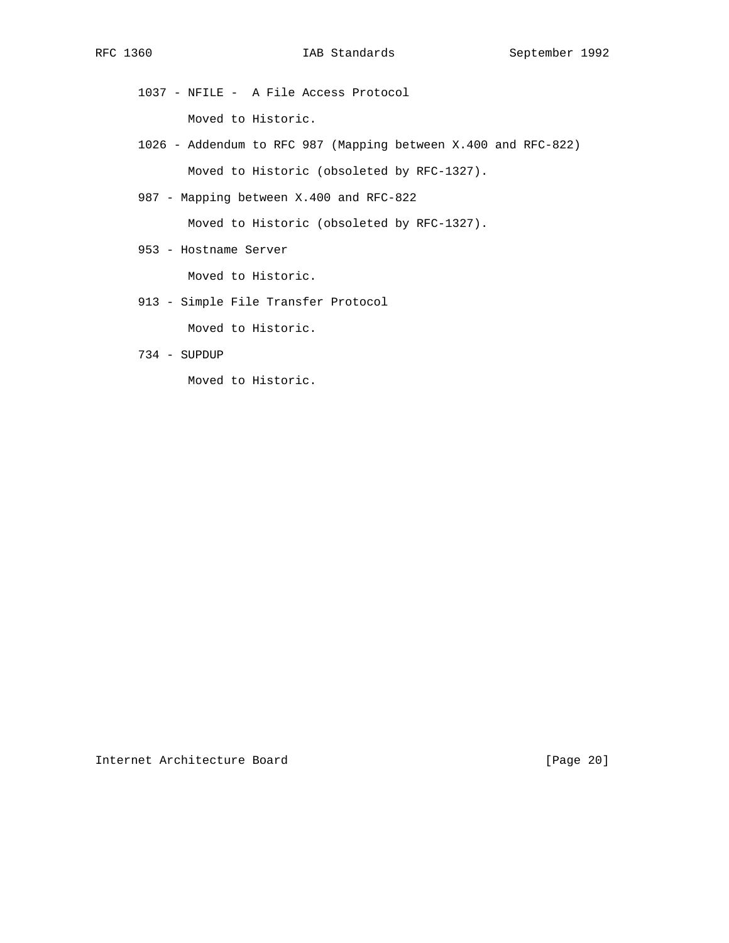- 1037 NFILE A File Access Protocol Moved to Historic.
- 1026 Addendum to RFC 987 (Mapping between X.400 and RFC-822) Moved to Historic (obsoleted by RFC-1327).
- 987 Mapping between X.400 and RFC-822

Moved to Historic (obsoleted by RFC-1327).

953 - Hostname Server

Moved to Historic.

913 - Simple File Transfer Protocol

Moved to Historic.

734 - SUPDUP

Moved to Historic.

Internet Architecture Board [Page 20]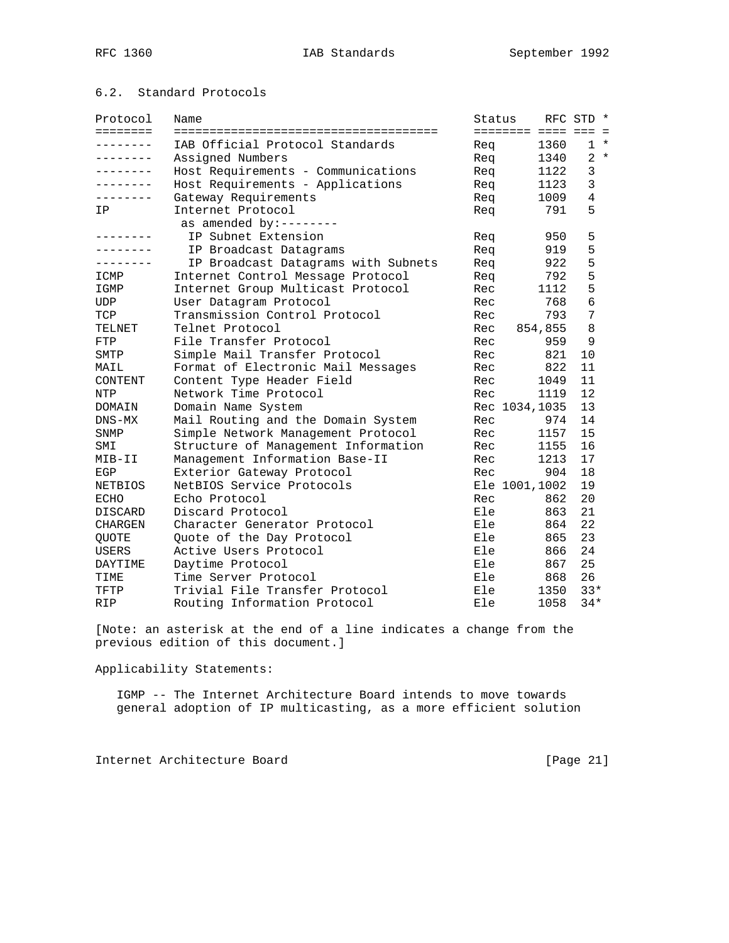# 6.2. Standard Protocols

| Protocol        | Name                                | Status              |         | RFC STD *      |       |
|-----------------|-------------------------------------|---------------------|---------|----------------|-------|
| ========        |                                     | ======== ==== === = |         |                |       |
| -------         | IAB Official Protocol Standards     | Req                 | 1360    |                | $1 *$ |
| . _ _ _ _ _ _ _ | Assigned Numbers                    | Req                 | 1340    |                | $2 *$ |
|                 | Host Requirements - Communications  | Req                 | 1122    | 3              |       |
| $- - - - - - -$ | Host Requirements - Applications    | Req                 | 1123    | 3              |       |
| .               | Gateway Requirements                | Req                 | 1009    | $\overline{4}$ |       |
| ΙP              | Internet Protocol                   | Req                 | 791     | 5              |       |
|                 | as amended by:--------              |                     |         |                |       |
| -------         | IP Subnet Extension                 | Req                 | 950     | 5              |       |
|                 | IP Broadcast Datagrams              | Req                 | 919     | 5              |       |
|                 | IP Broadcast Datagrams with Subnets | Req                 | 922     | 5              |       |
| ICMP            | Internet Control Message Protocol   | Reg                 | 792     | 5              |       |
| IGMP            | Internet Group Multicast Protocol   | Rec                 | 1112    | 5              |       |
| <b>UDP</b>      | User Datagram Protocol              | Rec                 | 768     | $\overline{6}$ |       |
| TCP             | Transmission Control Protocol       | Rec                 | 793     | 7              |       |
| TELNET          | Telnet Protocol                     | Rec                 | 854,855 | 8              |       |
| FTP             | File Transfer Protocol              | Rec                 | 959     | 9              |       |
| SMTP            | Simple Mail Transfer Protocol       | Rec                 | 821     | 10             |       |
| MAIL            | Format of Electronic Mail Messages  | Rec                 | 822     | 11             |       |
| CONTENT         | Content Type Header Field           | Rec                 | 1049    | 11             |       |
| NTP             | Network Time Protocol               | Rec                 | 1119    | 12             |       |
| DOMAIN          | Domain Name System                  | Rec 1034, 1035      |         | 13             |       |
| $DNS-MX$        | Mail Routing and the Domain System  | Rec                 | 974     | 14             |       |
| SNMP            | Simple Network Management Protocol  | Rec                 | 1157    | 15             |       |
| SMI             | Structure of Management Information | Rec                 | 1155    | 16             |       |
| MIB-II          | Management Information Base-II      | Rec                 | 1213    | 17             |       |
| EGP             | Exterior Gateway Protocol           | Rec                 | 904     | 18             |       |
| <b>NETBIOS</b>  | NetBIOS Service Protocols           | Ele 1001,1002       |         | 19             |       |
| <b>ECHO</b>     | Echo Protocol                       | Rec                 | 862     | 20             |       |
| DISCARD         | Discard Protocol                    | Ele                 | 863     | 21             |       |
| <b>CHARGEN</b>  | Character Generator Protocol        | Ele                 | 864     | 22             |       |
| <b>QUOTE</b>    | Quote of the Day Protocol           | Ele                 | 865     | 23             |       |
| <b>USERS</b>    | Active Users Protocol               | Ele                 | 866     | 24             |       |
| DAYTIME         | Daytime Protocol                    | Ele                 | 867     | 25             |       |
| TIME            | Time Server Protocol                | Ele                 | 868     | 26             |       |
| TFTP            | Trivial File Transfer Protocol      | Ele                 | 1350    | $33*$          |       |
| <b>RIP</b>      | Routing Information Protocol        | Ele                 | 1058    | $34*$          |       |

[Note: an asterisk at the end of a line indicates a change from the previous edition of this document.]

Applicability Statements:

 IGMP -- The Internet Architecture Board intends to move towards general adoption of IP multicasting, as a more efficient solution

Internet Architecture Board [Page 21]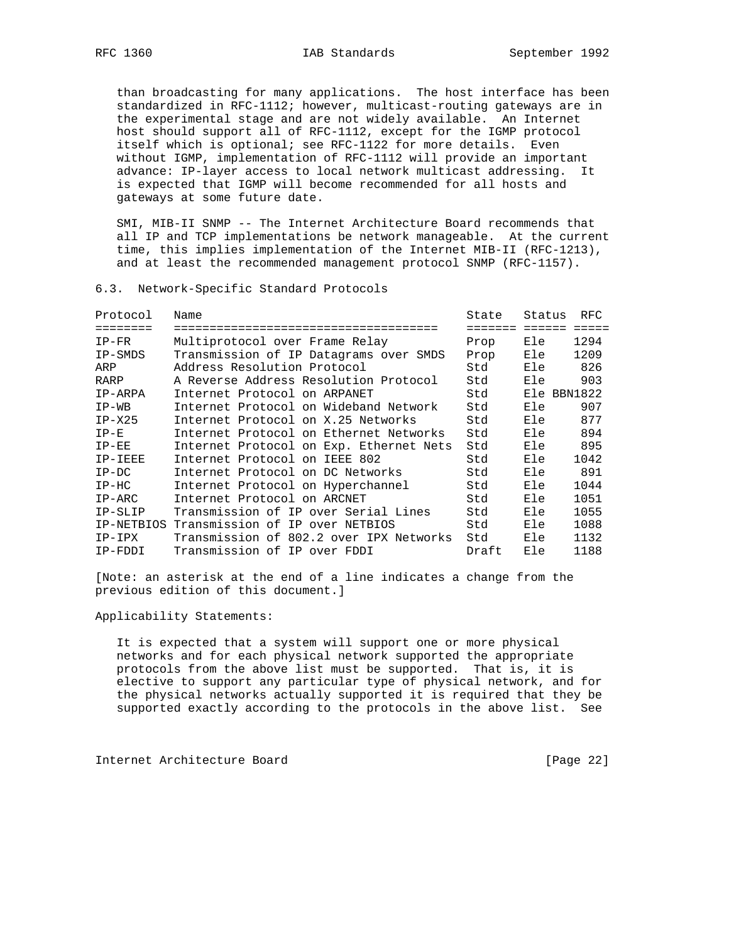than broadcasting for many applications. The host interface has been standardized in RFC-1112; however, multicast-routing gateways are in the experimental stage and are not widely available. An Internet host should support all of RFC-1112, except for the IGMP protocol itself which is optional; see RFC-1122 for more details. Even without IGMP, implementation of RFC-1112 will provide an important advance: IP-layer access to local network multicast addressing. It is expected that IGMP will become recommended for all hosts and gateways at some future date.

 SMI, MIB-II SNMP -- The Internet Architecture Board recommends that all IP and TCP implementations be network manageable. At the current time, this implies implementation of the Internet MIB-II (RFC-1213), and at least the recommended management protocol SNMP (RFC-1157).

6.3. Network-Specific Standard Protocols

| Protocol | Name                                       | State   | Status      | RFC  |
|----------|--------------------------------------------|---------|-------------|------|
| ======== | ================================           | ======= | ======      |      |
| $IP-FR$  | Multiprotocol over Frame Relay             | Prop    | Ele         | 1294 |
| IP-SMDS  | Transmission of IP Datagrams over SMDS     | Prop    | Ele         | 1209 |
| ARP      | Address Resolution Protocol                | Std     | Ele         | 826  |
| RARP     | A Reverse Address Resolution Protocol      | Std     | Ele         | 903  |
| IP-ARPA  | Internet Protocol on ARPANET               | Std     | Ele BBN1822 |      |
| $IP-WB$  | Internet Protocol on Wideband Network      | Std     | Ele         | 907  |
| $IP-X25$ | Internet Protocol on X.25 Networks         | Std     | Ele         | 877  |
| $IP-E$   | Internet Protocol on Ethernet Networks     | Std     | Ele         | 894  |
| $IP-EE$  | Internet Protocol on Exp. Ethernet Nets    | Std     | Ele         | 895  |
| IP-IEEE  | Internet Protocol on IEEE 802              | Std     | Ele         | 1042 |
| $IP-DC$  | Internet Protocol on DC Networks           | Std     | Ele         | 891  |
| $IP-HC$  | Internet Protocol on Hyperchannel          | Std     | Ele         | 1044 |
| $IP-ARC$ | Internet Protocol on ARCNET                | Std     | Ele         | 1051 |
| IP-SLIP  | Transmission of IP over Serial Lines       | Std     | Ele         | 1055 |
|          | IP-NETBIOS Transmission of IP over NETBIOS | Std     | Ele         | 1088 |
| IP-IPX   | Transmission of 802.2 over IPX Networks    | Std     | Ele         | 1132 |
| IP-FDDI  | Transmission of IP over FDDI               | Draft   | Ele         | 1188 |

[Note: an asterisk at the end of a line indicates a change from the previous edition of this document.]

Applicability Statements:

 It is expected that a system will support one or more physical networks and for each physical network supported the appropriate protocols from the above list must be supported. That is, it is elective to support any particular type of physical network, and for the physical networks actually supported it is required that they be supported exactly according to the protocols in the above list. See

Internet Architecture Board [Page 22]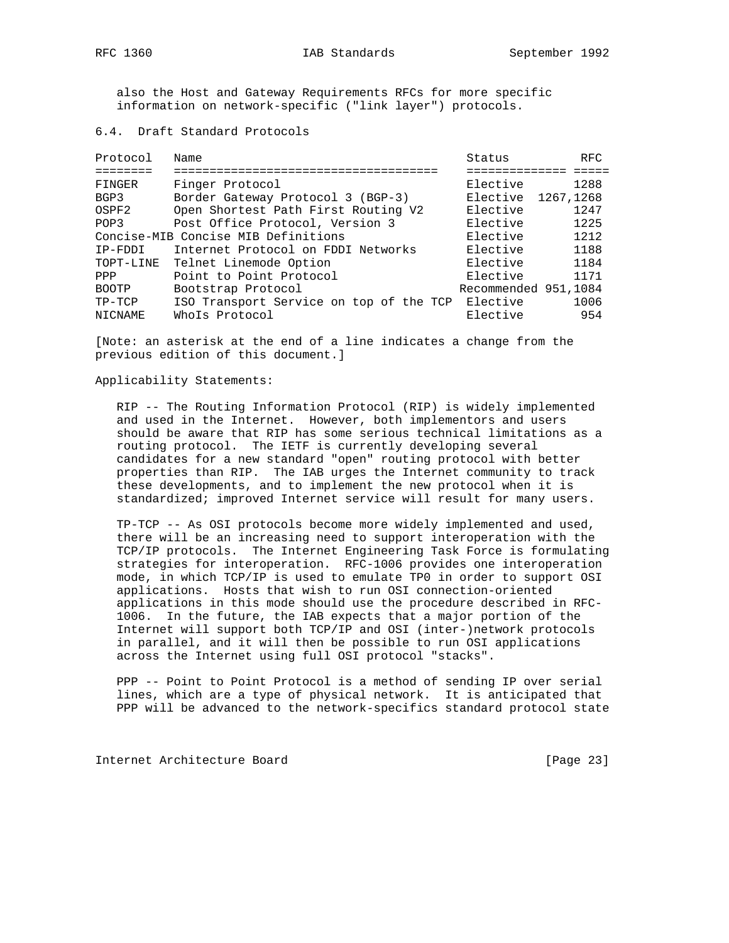also the Host and Gateway Requirements RFCs for more specific information on network-specific ("link layer") protocols.

6.4. Draft Standard Protocols

| Protocol          | Name                                    | Status               | <b>RFC</b> |
|-------------------|-----------------------------------------|----------------------|------------|
|                   |                                         |                      |            |
| FINGER            | Finger Protocol                         | Elective             | 1288       |
| BGP3              | Border Gateway Protocol 3 (BGP-3)       | Elective 1267, 1268  |            |
| OSPF <sub>2</sub> | Open Shortest Path First Routing V2     | Elective             | 1247       |
| POP3              | Post Office Protocol, Version 3         | Elective             | 1225       |
|                   | Concise-MIB Concise MIB Definitions     | Elective             | 1212       |
| IP-FDDI           | Internet Protocol on FDDI Networks      | Elective             | 1188       |
| TOPT-LINE         | Telnet Linemode Option                  | Elective             | 1184       |
| PPP               | Point to Point Protocol                 | Elective             | 1171       |
| <b>BOOTP</b>      | Bootstrap Protocol                      | Recommended 951,1084 |            |
| $TP-TCP$          | ISO Transport Service on top of the TCP | Elective             | 1006       |
| <b>NICNAME</b>    | Whols Protocol                          | Elective             | 954        |

[Note: an asterisk at the end of a line indicates a change from the previous edition of this document.]

Applicability Statements:

 RIP -- The Routing Information Protocol (RIP) is widely implemented and used in the Internet. However, both implementors and users should be aware that RIP has some serious technical limitations as a routing protocol. The IETF is currently developing several candidates for a new standard "open" routing protocol with better properties than RIP. The IAB urges the Internet community to track these developments, and to implement the new protocol when it is standardized; improved Internet service will result for many users.

 TP-TCP -- As OSI protocols become more widely implemented and used, there will be an increasing need to support interoperation with the TCP/IP protocols. The Internet Engineering Task Force is formulating strategies for interoperation. RFC-1006 provides one interoperation mode, in which TCP/IP is used to emulate TP0 in order to support OSI applications. Hosts that wish to run OSI connection-oriented applications in this mode should use the procedure described in RFC- 1006. In the future, the IAB expects that a major portion of the Internet will support both TCP/IP and OSI (inter-)network protocols in parallel, and it will then be possible to run OSI applications across the Internet using full OSI protocol "stacks".

 PPP -- Point to Point Protocol is a method of sending IP over serial lines, which are a type of physical network. It is anticipated that PPP will be advanced to the network-specifics standard protocol state

Internet Architecture Board [Page 23]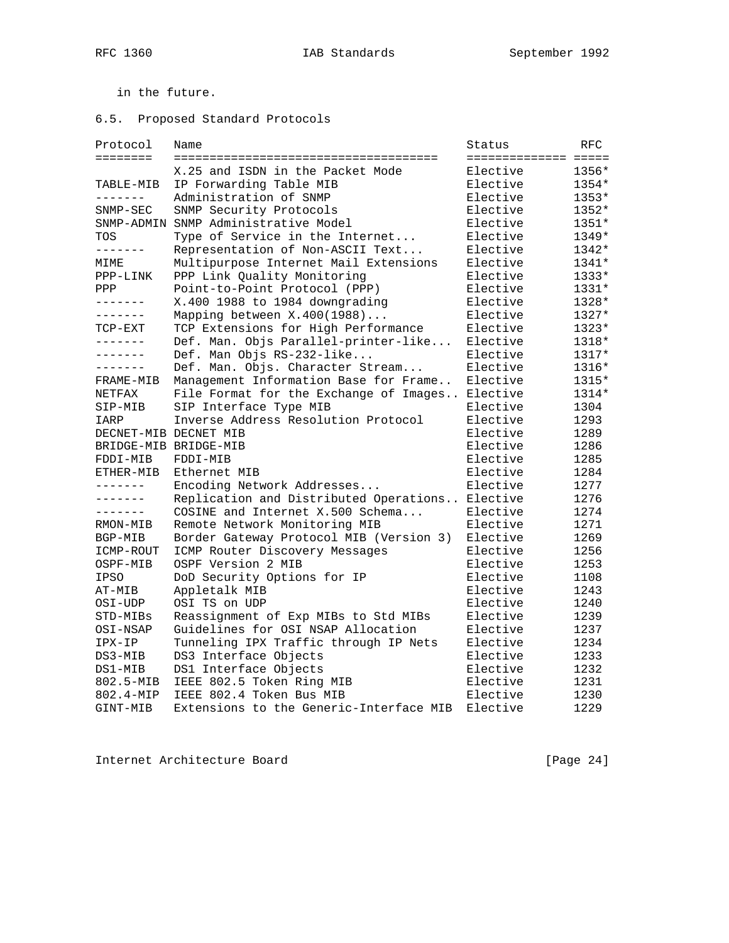in the future.

# 6.5. Proposed Standard Protocols

| Protocol        | Name                                    | Status               | RFC     |
|-----------------|-----------------------------------------|----------------------|---------|
| ========        |                                         | ==================== |         |
|                 | X.25 and ISDN in the Packet Mode        | Elective             | 1356*   |
| TABLE-MIB       | IP Forwarding Table MIB                 | Elective             | $1354*$ |
| -------         | Administration of SNMP                  | Elective             | $1353*$ |
| $SNNP-SEC$      | SNMP Security Protocols                 | Elective             | 1352*   |
|                 | SNMP-ADMIN SNMP Administrative Model    | Elective             | 1351*   |
| TOS             | Type of Service in the Internet         | Elective             | 1349*   |
| -------         | Representation of Non-ASCII Text        | Elective             | 1342*   |
| MIME            | Multipurpose Internet Mail Extensions   | Elective             | 1341*   |
| PPP-LINK        | PPP Link Quality Monitoring             | Elective             | 1333*   |
| PPP             | Point-to-Point Protocol (PPP)           | Elective             | 1331*   |
| -------         | X.400 1988 to 1984 downgrading          | Elective             | 1328*   |
| -------         | Mapping between X.400(1988)             | Elective             | 1327*   |
| TCP-EXT         | TCP Extensions for High Performance     | Elective             | $1323*$ |
| $- - - - - - -$ | Def. Man. Objs Parallel-printer-like    | Elective             | 1318*   |
| --------        | Def. Man Objs RS-232-like               | Elective             | 1317*   |
| -------         | Def. Man. Objs. Character Stream        | Elective             | 1316*   |
| FRAME-MIB       | Management Information Base for Frame   | Elective             | 1315*   |
| NETFAX          | File Format for the Exchange of Images  | Elective             | 1314*   |
| SIP-MIB         | SIP Interface Type MIB                  | Elective             | 1304    |
| IARP            | Inverse Address Resolution Protocol     | Elective             | 1293    |
|                 | DECNET-MIB DECNET MIB                   | Elective             | 1289    |
|                 | BRIDGE-MIB BRIDGE-MIB                   | Elective             | 1286    |
| FDDI-MIB        | FDDI-MIB                                | Elective             | 1285    |
| ETHER-MIB       | Ethernet MIB                            | Elective             | 1284    |
| -------         | Encoding Network Addresses              | Elective             | 1277    |
| -------         | Replication and Distributed Operations  | Elective             | 1276    |
| $- - - - - - -$ | COSINE and Internet X.500 Schema        | Elective             | 1274    |
| RMON-MIB        | Remote Network Monitoring MIB           | Elective             | 1271    |
| BGP-MIB         | Border Gateway Protocol MIB (Version 3) | Elective             | 1269    |
| ICMP-ROUT       | ICMP Router Discovery Messages          | Elective             | 1256    |
| OSPF-MIB        | OSPF Version 2 MIB                      | Elective             | 1253    |
| <b>IPSO</b>     | DoD Security Options for IP             | Elective             | 1108    |
| AT-MIB          | Appletalk MIB                           | Elective             | 1243    |
| OSI-UDP         | OSI TS on UDP                           | Elective             | 1240    |
| STD-MIBs        | Reassignment of Exp MIBs to Std MIBs    | Elective             | 1239    |
| OSI-NSAP        | Guidelines for OSI NSAP Allocation      | Elective             | 1237    |
| IPX-IP          | Tunneling IPX Traffic through IP Nets   | Elective             | 1234    |
| DS3-MIB         | DS3 Interface Objects                   | Elective             | 1233    |
| DS1-MIB         | DS1 Interface Objects                   | Elective             | 1232    |
| 802.5-MIB       | IEEE 802.5 Token Ring MIB               | Elective             | 1231    |
| 802.4-MIP       | IEEE 802.4 Token Bus MIB                | Elective             | 1230    |
| GINT-MIB        | Extensions to the Generic-Interface MIB | Elective             | 1229    |

Internet Architecture Board [Page 24]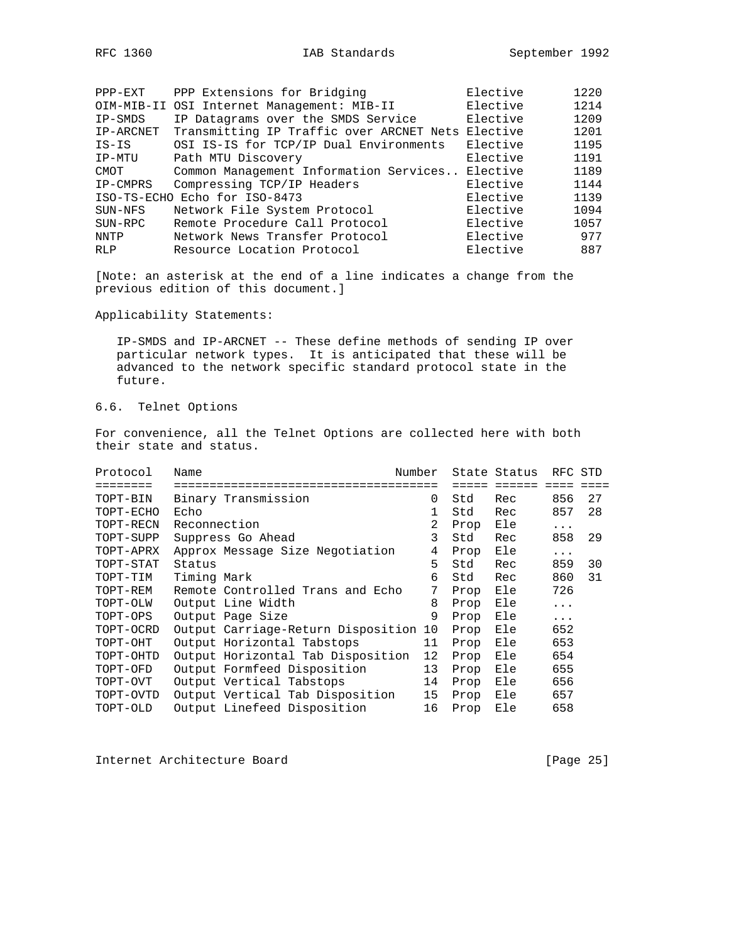| $PPP-EXT$  | PPP Extensions for Bridging                       | Elective | 1220 |
|------------|---------------------------------------------------|----------|------|
|            | OIM-MIB-II OSI Internet Management: MIB-II        | Elective | 1214 |
| IP-SMDS    | IP Datagrams over the SMDS Service                | Elective | 1209 |
|            |                                                   |          |      |
| IP-ARCNET  | Transmitting IP Traffic over ARCNET Nets Elective |          | 1201 |
| $IS-IS$    | OSI IS-IS for TCP/IP Dual Environments            | Elective | 1195 |
| IP-MTU     | Path MTU Discovery                                | Elective | 1191 |
| CMOT       | Common Management Information Services Elective   |          | 1189 |
| IP-CMPRS   | Compressing TCP/IP Headers                        | Elective | 1144 |
|            | ISO-TS-ECHO Echo for ISO-8473                     | Elective | 1139 |
| SUN-NFS    | Network File System Protocol                      | Elective | 1094 |
| SUN-RPC    | Remote Procedure Call Protocol                    | Elective | 1057 |
| NNTP       | Network News Transfer Protocol                    | Elective | 977  |
| <b>RLP</b> | Resource Location Protocol                        | Elective | 887  |
|            |                                                   |          |      |

[Note: an asterisk at the end of a line indicates a change from the previous edition of this document.]

Applicability Statements:

 IP-SMDS and IP-ARCNET -- These define methods of sending IP over particular network types. It is anticipated that these will be advanced to the network specific standard protocol state in the future.

# 6.6. Telnet Options

For convenience, all the Telnet Options are collected here with both their state and status.

| Protocol  | Name                               | Number         |      | State Status | RFC STD  |    |
|-----------|------------------------------------|----------------|------|--------------|----------|----|
| .=======  |                                    |                |      |              |          |    |
| TOPT-BIN  | Binary Transmission                | 0              | Std  | Rec          | 856      | 27 |
| TOPT-ECHO | Echo                               |                | Std  | Rec          | 857      | 28 |
| TOPT-RECN | Reconnection                       | $\overline{2}$ | Prop | Ele          | $\cdots$ |    |
| TOPT-SUPP | Suppress Go Ahead                  | 3              | Std  | Rec          | 858      | 29 |
| TOPT-APRX | Approx Message Size Negotiation    | 4              | Prop | Ele          | $\cdots$ |    |
| TOPT-STAT | Status                             | 5              | Std  | Rec          | 859      | 30 |
| TOPT-TIM  | Timing Mark                        | 6              | Std  | Rec          | 860      | 31 |
| TOPT-REM  | Remote Controlled Trans and Echo   | 7              | Prop | Ele          | 726      |    |
| TOPT-OLW  | Output Line Width                  | 8              | Prop | Ele          | .        |    |
| TOPT-OPS  | Output Page Size                   | 9              | Prop | Ele          | $\cdots$ |    |
| TOPT-OCRD | Output Carriage-Return Disposition | 10             | Prop | Ele          | 652      |    |
| TOPT-OHT  | Output Horizontal Tabstops         | 11             | Prop | Ele          | 653      |    |
| TOPT-OHTD | Output Horizontal Tab Disposition  | 12             | Prop | Ele          | 654      |    |
| TOPT-OFD  | Output Formfeed Disposition        | 13             | Prop | Ele          | 655      |    |
| TOPT-OVT  | Output Vertical Tabstops           | 14             | Prop | Ele          | 656      |    |
| TOPT-OVTD | Output Vertical Tab Disposition    | 15             | Prop | Ele          | 657      |    |
| TOPT-OLD  | Output Linefeed Disposition        | 16             | Prop | Ele          | 658      |    |

Internet Architecture Board [Page 25]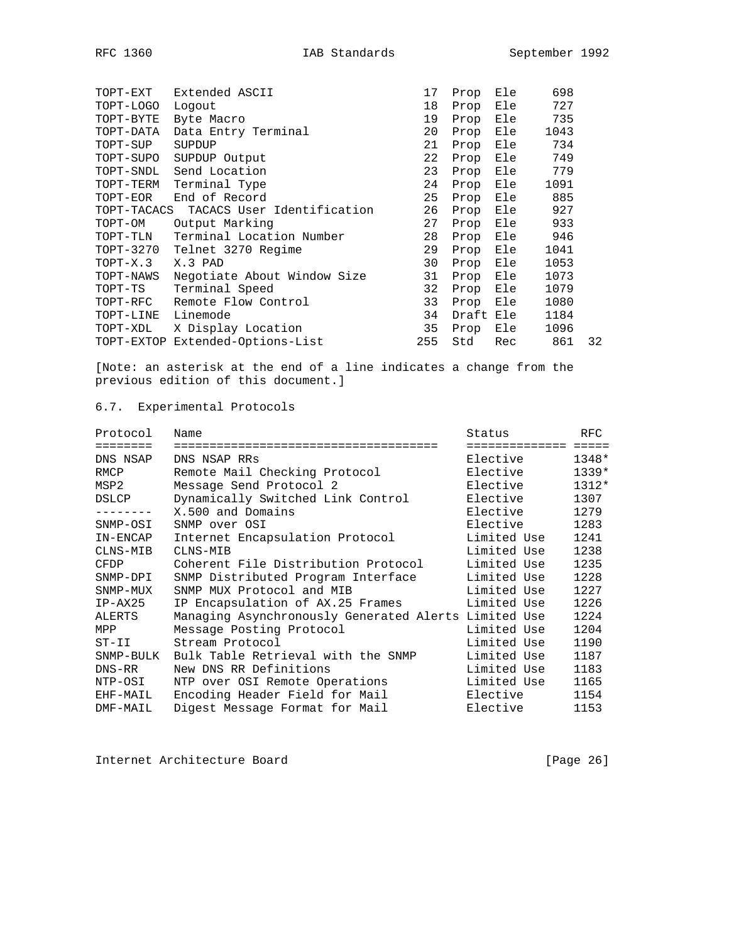| TOPT-EXT    | Extended ASCII                   | 17  | Prop      | Ele | 698  |    |
|-------------|----------------------------------|-----|-----------|-----|------|----|
| TOPT-LOGO   | Logout                           | 18  | Prop      | Ele | 727  |    |
| TOPT-BYTE   | Byte Macro                       | 19  | Prop      | Ele | 735  |    |
| TOPT-DATA   | Data Entry Terminal              | 20  | Prop      | Ele | 1043 |    |
| TOPT-SUP    | SUPDUP                           | 21  | Prop      | Ele | 734  |    |
| TOPT-SUPO   | SUPDUP Output                    | 22  | Prop      | Ele | 749  |    |
| TOPT-SNDL   | Send Location                    | 23  | Prop      | Ele | 779  |    |
| TOPT-TERM   | Terminal Type                    | 24  | Prop      | Ele | 1091 |    |
| TOPT-EOR    | End of Record                    | 25  | Prop      | Ele | 885  |    |
| TOPT-TACACS | TACACS User Identification       | 26  | Prop      | Ele | 927  |    |
| TOPT-OM     | Output Marking                   | 27  | Prop      | Ele | 933  |    |
| TOPT-TLN    | Terminal Location Number         | 28  | Prop      | Ele | 946  |    |
| TOPT-3270   | Telnet 3270 Regime               | 29  | Prop      | Ele | 1041 |    |
| $TOPT-X.3$  | X.3 PAD                          | 30  | Prop      | Ele | 1053 |    |
| TOPT-NAWS   | Negotiate About Window Size      | 31  | Prop      | Ele | 1073 |    |
| TOPT-TS     | Terminal Speed                   | 32  | Prop      | Ele | 1079 |    |
| TOPT-RFC    | Remote Flow Control              | 33  | Prop      | Ele | 1080 |    |
| TOPT-LINE   | Linemode                         | 34  | Draft Ele |     | 1184 |    |
| TOPT-XDL    | X Display Location               | 35  | Prop      | Ele | 1096 |    |
|             | TOPT-EXTOP Extended-Options-List | 255 | Std       | Rec | 861  | 32 |
|             |                                  |     |           |     |      |    |

[Note: an asterisk at the end of a line indicates a change from the previous edition of this document.]

# 6.7. Experimental Protocols

| Protocol  | Name                                                 | Status       | RFC             |
|-----------|------------------------------------------------------|--------------|-----------------|
| ========  |                                                      | ============ | $=$ $=$ $=$ $=$ |
| DNS NSAP  | DNS NSAP RRs                                         | Elective     | 1348*           |
| RMCP      | Remote Mail Checking Protocol                        | Elective     | $1339*$         |
| MSP2      | Message Send Protocol 2                              | Elective     | $1312*$         |
| DSLCP     | Dynamically Switched Link Control                    | Elective     | 1307            |
|           | X.500 and Domains                                    | Elective     | 1279            |
| SNMP-OSI  | SNMP over OSI                                        | Elective     | 1283            |
| IN-ENCAP  | Internet Encapsulation Protocol                      | Limited Use  | 1241            |
| CLNS-MIB  | CLNS-MIB                                             | Limited Use  | 1238            |
| CFDP      | Coherent File Distribution Protocol                  | Limited Use  | 1235            |
| SNMP-DPI  | SNMP Distributed Program Interface                   | Limited Use  | 1228            |
| SNMP-MUX  | SNMP MUX Protocol and MIB                            | Limited Use  | 1227            |
| $IP-AX25$ | IP Encapsulation of AX.25 Frames                     | Limited Use  | 1226            |
| ALERTS    | Managing Asynchronously Generated Alerts Limited Use |              | 1224            |
| MPP       | Message Posting Protocol                             | Limited Use  | 1204            |
| $ST-II$   | Stream Protocol                                      | Limited Use  | 1190            |
| SNMP-BULK | Bulk Table Retrieval with the SNMP                   | Limited Use  | 1187            |
| $DNS-RR$  | New DNS RR Definitions                               | Limited Use  | 1183            |
| NTP-OSI   | NTP over OSI Remote Operations                       | Limited Use  | 1165            |
| EHF-MAIL  | Encoding Header Field for Mail                       | Elective     | 1154            |
| DMF-MAIL  | Digest Message Format for Mail                       | Elective     | 1153            |

Internet Architecture Board [Page 26]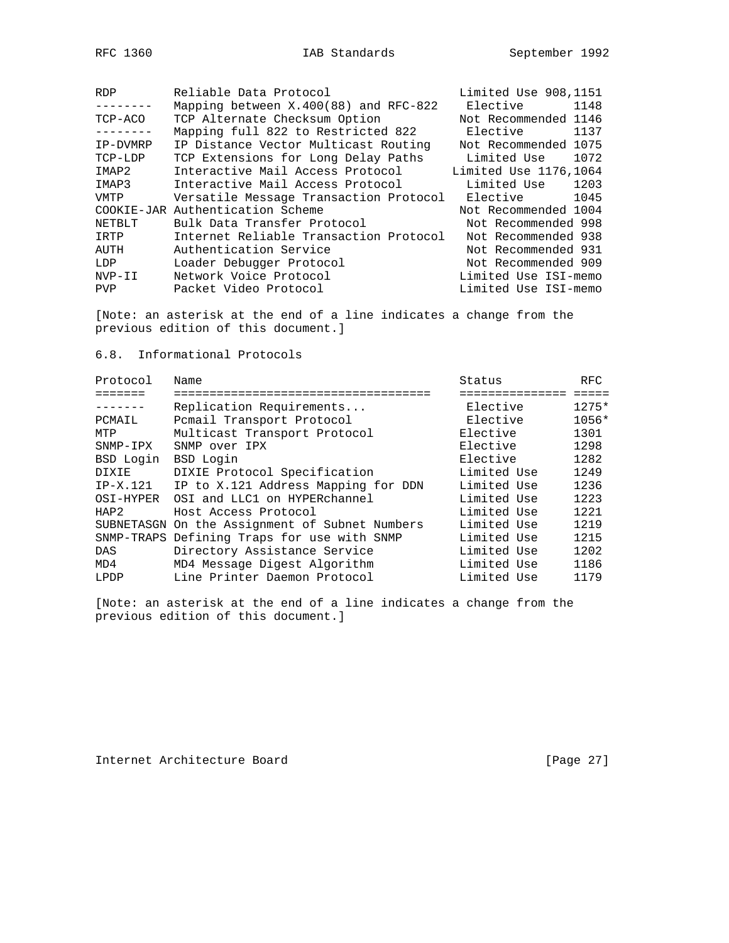| RFC. | 1360 |
|------|------|
|      |      |

| Not Recommended 1146<br>TCP Alternate Checksum Option<br>TCP-ACO         |      |
|--------------------------------------------------------------------------|------|
| Mapping full 822 to Restricted 822<br>Elective 1137                      |      |
| Not Recommended 1075<br>IP Distance Vector Multicast Routing<br>IP-DVMRP |      |
| TCP Extensions for Long Delay Paths<br>Limited Use<br>TCP-LDP            | 1072 |
| Interactive Mail Access Protocol<br>Limited Use 1176,1064<br>IMAP2       |      |
| Limited Use 1203<br>Interactive Mail Access Protocol<br>IMAP3            |      |
| Versatile Message Transaction Protocol<br>Elective 1045<br>VMTP          |      |
| COOKIE-JAR Authentication Scheme<br>Not Recommended 1004                 |      |
| Bulk Data Transfer Protocol<br>Not Recommended 998<br>NETBLT             |      |
| Internet Reliable Transaction Protocol<br>Not Recommended 938<br>IRTP    |      |
| Authentication Service<br>AUTH<br>Not Recommended 931                    |      |
| Loader Debugger Protocol<br>Not Recommended 909<br>LDP                   |      |
| Network Voice Protocol<br>NVP-II<br>Limited Use ISI-memo                 |      |
| Packet Video Protocol<br>Limited Use ISI-memo<br><b>PVP</b>              |      |

[Note: an asterisk at the end of a line indicates a change from the previous edition of this document.]

6.8. Informational Protocols

| Name                                | Status                                                                                        | <b>RFC</b> |
|-------------------------------------|-----------------------------------------------------------------------------------------------|------------|
|                                     |                                                                                               |            |
| Replication Requirements            | Elective                                                                                      | $1275*$    |
| Pomail Transport Protocol           | Elective                                                                                      | 1056*      |
| Multicast Transport Protocol        | Elective                                                                                      | 1301       |
| SNMP over IPX                       | Elective                                                                                      | 1298       |
| BSD Login                           | Elective                                                                                      | 1282       |
| DIXIE Protocol Specification        | Limited Use                                                                                   | 1249       |
| IP to X.121 Address Mapping for DDN | Limited Use                                                                                   | 1236       |
| OSI and LLC1 on HYPERchannel        | Limited Use                                                                                   | 1223       |
| Host Access Protocol                | Limited Use                                                                                   | 1221       |
|                                     | Limited Use                                                                                   | 1219       |
|                                     | Limited Use                                                                                   | 1215       |
| Directory Assistance Service        | Limited Use                                                                                   | 1202       |
| MD4 Message Digest Algorithm        | Limited Use                                                                                   | 1186       |
| Line Printer Daemon Protocol        | Limited Use                                                                                   | 1179       |
|                                     | SUBNETASGN On the Assignment of Subnet Numbers<br>SNMP-TRAPS Defining Traps for use with SNMP |            |

[Note: an asterisk at the end of a line indicates a change from the previous edition of this document.]

Internet Architecture Board [Page 27]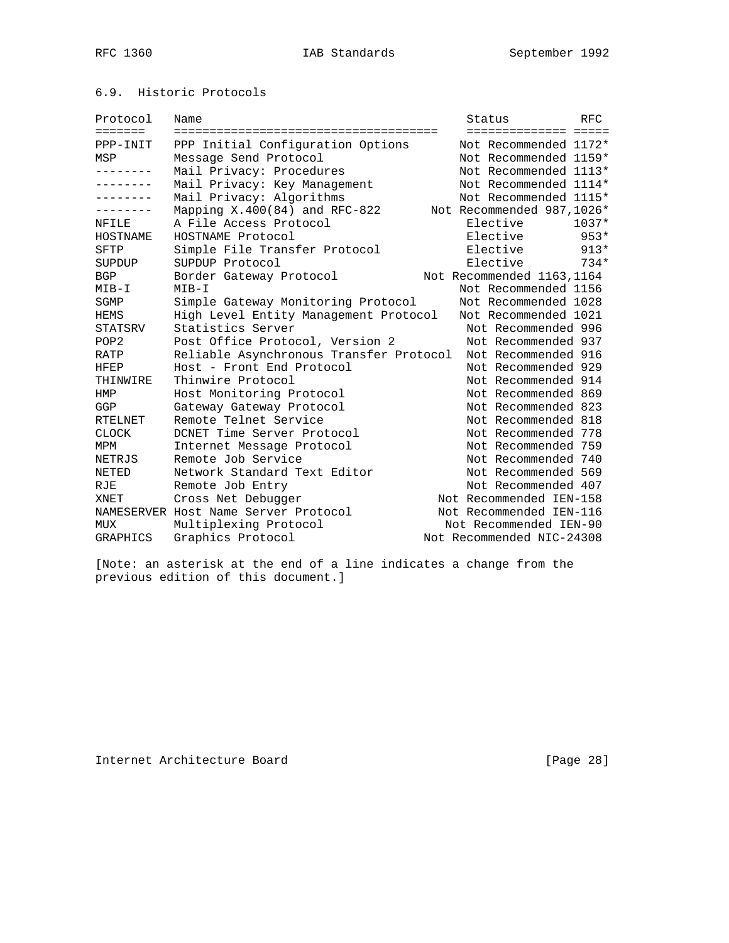# 6.9. Historic Protocols

| Protocol         | Name                                    | Status                     | <b>RFC</b> |
|------------------|-----------------------------------------|----------------------------|------------|
| <b>=======</b>   |                                         | ====================       |            |
| PPP-INIT         | PPP Initial Configuration Options       | Not Recommended 1172*      |            |
| MSP              | Message Send Protocol                   | Not Recommended 1159*      |            |
| --------         | Mail Privacy: Procedures                | Not Recommended 1113*      |            |
| --------         | Mail Privacy: Key Management            | Not Recommended 1114*      |            |
| --------         | Mail Privacy: Algorithms                | Not Recommended 1115*      |            |
|                  | Mapping $X.400(84)$ and RFC-822         | Not Recommended 987,1026*  |            |
| NFILE            | A File Access Protocol                  | Elective                   | $1037*$    |
| HOSTNAME         | HOSTNAME Protocol                       | Elective                   | $953*$     |
| <b>SFTP</b>      | Simple File Transfer Protocol           | Elective                   | $913*$     |
| SUPDUP           | SUPDUP Protocol                         | Elective                   | $734*$     |
| <b>BGP</b>       | Border Gateway Protocol                 | Not Recommended 1163, 1164 |            |
| $MIB-I$          | $MIB-I$                                 | Not Recommended 1156       |            |
| SGMP             | Simple Gateway Monitoring Protocol      | Not Recommended 1028       |            |
| HEMS             | High Level Entity Management Protocol   | Not Recommended 1021       |            |
| STATSRV          | Statistics Server                       | Not Recommended 996        |            |
| POP <sub>2</sub> | Post Office Protocol, Version 2         | Not Recommended 937        |            |
| RATP             | Reliable Asynchronous Transfer Protocol | Not Recommended 916        |            |
| HFEP             | Host - Front End Protocol               | Not Recommended 929        |            |
| THINWIRE         | Thinwire Protocol                       | Not Recommended 914        |            |
| HMP              | Host Monitoring Protocol                | Not Recommended 869        |            |
| GGP              | Gateway Gateway Protocol                | Not Recommended 823        |            |
| <b>RTELNET</b>   | Remote Telnet Service                   | Not Recommended 818        |            |
| <b>CLOCK</b>     | DCNET Time Server Protocol              | Not Recommended 778        |            |
| MPM              | Internet Message Protocol               | Not Recommended 759        |            |
| NETRJS           | Remote Job Service                      | Not Recommended 740        |            |
| NETED            | Network Standard Text Editor            | Not Recommended 569        |            |
| RJE              | Remote Job Entry                        | Not Recommended 407        |            |
| XNET             | Cross Net Debugger                      | Not Recommended IEN-158    |            |
|                  | NAMESERVER Host Name Server Protocol    | Not Recommended IEN-116    |            |
| MUX              | Multiplexing Protocol                   | Not Recommended IEN-90     |            |
| GRAPHICS         | Graphics Protocol                       | Not Recommended NIC-24308  |            |

[Note: an asterisk at the end of a line indicates a change from the previous edition of this document.]

Internet Architecture Board [Page 28]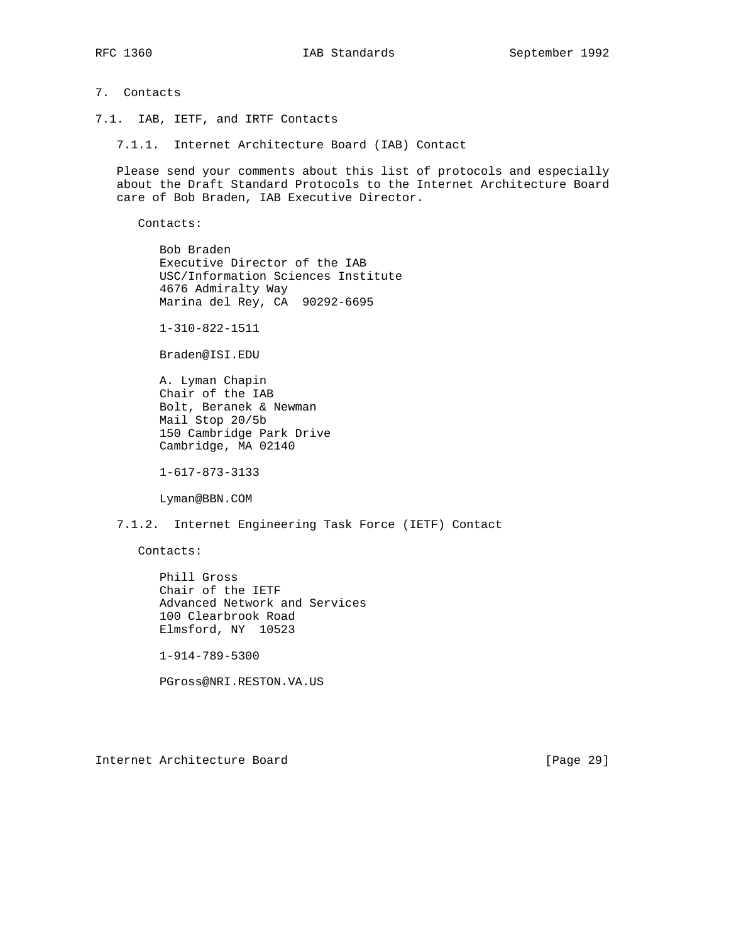### 7. Contacts

7.1. IAB, IETF, and IRTF Contacts

7.1.1. Internet Architecture Board (IAB) Contact

 Please send your comments about this list of protocols and especially about the Draft Standard Protocols to the Internet Architecture Board care of Bob Braden, IAB Executive Director.

Contacts:

 Bob Braden Executive Director of the IAB USC/Information Sciences Institute 4676 Admiralty Way Marina del Rey, CA 90292-6695

1-310-822-1511

Braden@ISI.EDU

 A. Lyman Chapin Chair of the IAB Bolt, Beranek & Newman Mail Stop 20/5b 150 Cambridge Park Drive Cambridge, MA 02140

1-617-873-3133

Lyman@BBN.COM

7.1.2. Internet Engineering Task Force (IETF) Contact

Contacts:

 Phill Gross Chair of the IETF Advanced Network and Services 100 Clearbrook Road Elmsford, NY 10523

1-914-789-5300

PGross@NRI.RESTON.VA.US

Internet Architecture Board [Page 29]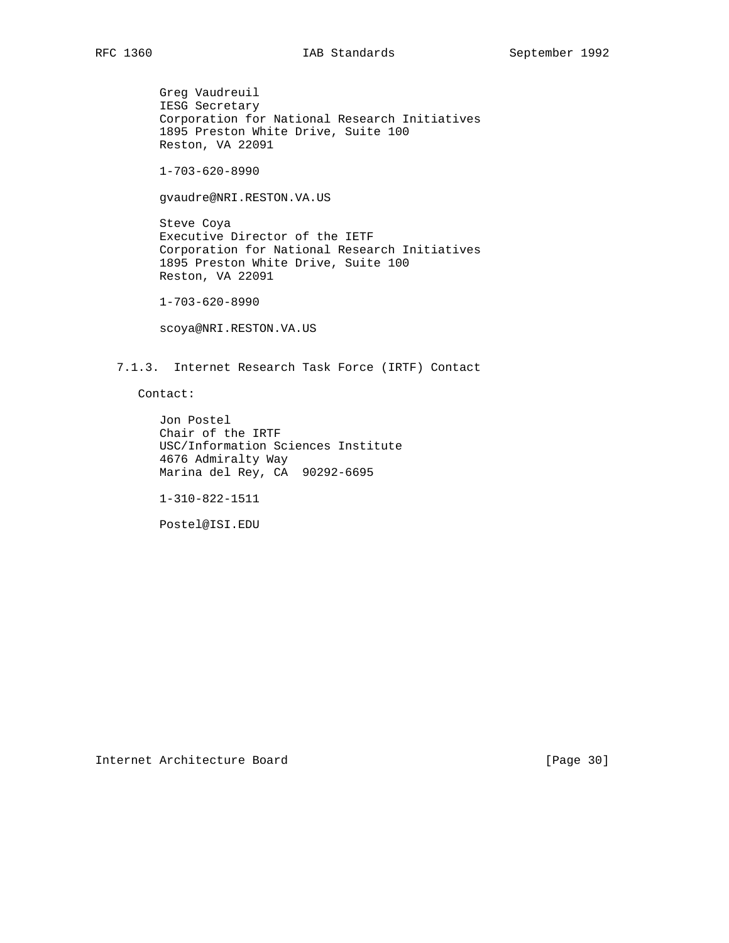Greg Vaudreuil IESG Secretary Corporation for National Research Initiatives 1895 Preston White Drive, Suite 100 Reston, VA 22091

1-703-620-8990

gvaudre@NRI.RESTON.VA.US

 Steve Coya Executive Director of the IETF Corporation for National Research Initiatives 1895 Preston White Drive, Suite 100 Reston, VA 22091

1-703-620-8990

scoya@NRI.RESTON.VA.US

7.1.3. Internet Research Task Force (IRTF) Contact

Contact:

 Jon Postel Chair of the IRTF USC/Information Sciences Institute 4676 Admiralty Way Marina del Rey, CA 90292-6695

1-310-822-1511

Postel@ISI.EDU

Internet Architecture Board [Page 30]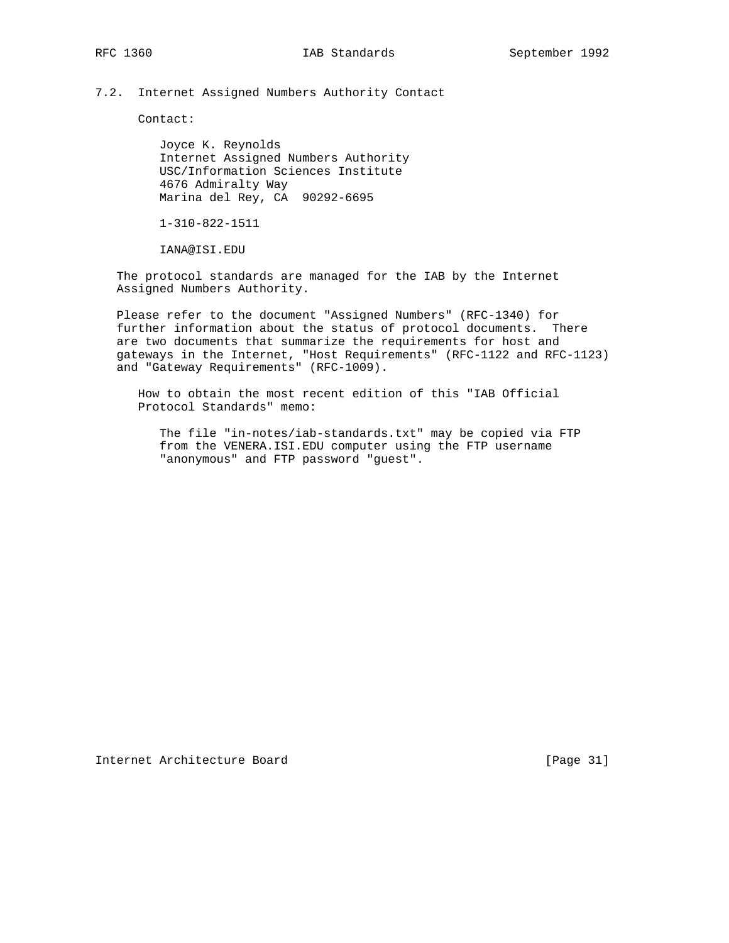### 7.2. Internet Assigned Numbers Authority Contact

Contact:

 Joyce K. Reynolds Internet Assigned Numbers Authority USC/Information Sciences Institute 4676 Admiralty Way Marina del Rey, CA 90292-6695

1-310-822-1511

IANA@ISI.EDU

 The protocol standards are managed for the IAB by the Internet Assigned Numbers Authority.

 Please refer to the document "Assigned Numbers" (RFC-1340) for further information about the status of protocol documents. There are two documents that summarize the requirements for host and gateways in the Internet, "Host Requirements" (RFC-1122 and RFC-1123) and "Gateway Requirements" (RFC-1009).

 How to obtain the most recent edition of this "IAB Official Protocol Standards" memo:

 The file "in-notes/iab-standards.txt" may be copied via FTP from the VENERA.ISI.EDU computer using the FTP username "anonymous" and FTP password "guest".

Internet Architecture Board [Page 31]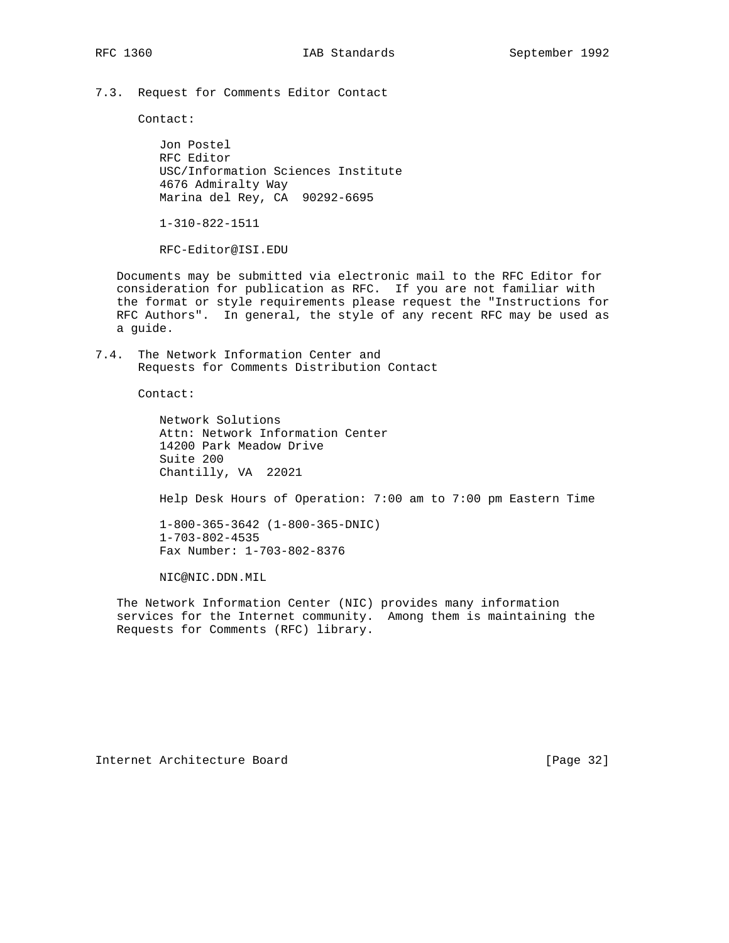7.3. Request for Comments Editor Contact

Contact:

 Jon Postel RFC Editor USC/Information Sciences Institute 4676 Admiralty Way Marina del Rey, CA 90292-6695

1-310-822-1511

RFC-Editor@ISI.EDU

 Documents may be submitted via electronic mail to the RFC Editor for consideration for publication as RFC. If you are not familiar with the format or style requirements please request the "Instructions for RFC Authors". In general, the style of any recent RFC may be used as a guide.

7.4. The Network Information Center and Requests for Comments Distribution Contact

Contact:

 Network Solutions Attn: Network Information Center 14200 Park Meadow Drive Suite 200 Chantilly, VA 22021

Help Desk Hours of Operation: 7:00 am to 7:00 pm Eastern Time

 1-800-365-3642 (1-800-365-DNIC) 1-703-802-4535 Fax Number: 1-703-802-8376

NIC@NIC.DDN.MIL

 The Network Information Center (NIC) provides many information services for the Internet community. Among them is maintaining the Requests for Comments (RFC) library.

Internet Architecture Board [Page 32]